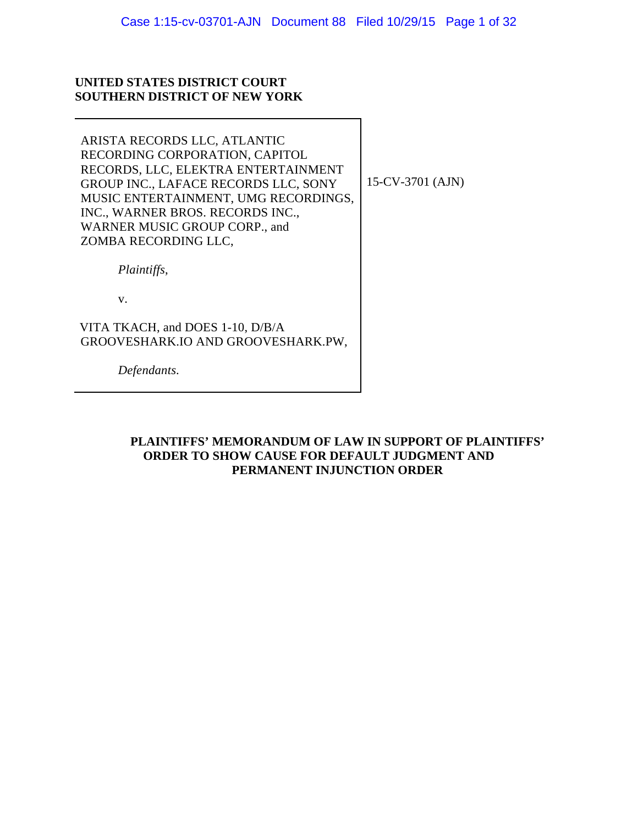## **UNITED STATES DISTRICT COURT SOUTHERN DISTRICT OF NEW YORK**

| ARISTA RECORDS LLC, ATLANTIC<br>RECORDING CORPORATION, CAPITOL<br>RECORDS, LLC, ELEKTRA ENTERTAINMENT<br>GROUP INC., LAFACE RECORDS LLC, SONY<br>MUSIC ENTERTAINMENT, UMG RECORDINGS,<br>INC., WARNER BROS. RECORDS INC.,<br>WARNER MUSIC GROUP CORP., and<br>ZOMBA RECORDING LLC, | 15-CV-3701 (AJN) |
|------------------------------------------------------------------------------------------------------------------------------------------------------------------------------------------------------------------------------------------------------------------------------------|------------------|
| Plaintiffs,                                                                                                                                                                                                                                                                        |                  |
| V.                                                                                                                                                                                                                                                                                 |                  |
| VITA TKACH, and DOES 1-10, D/B/A<br>GROOVESHARK.IO AND GROOVESHARK.PW,                                                                                                                                                                                                             |                  |
| Defendants.                                                                                                                                                                                                                                                                        |                  |

## **PLAINTIFFS' MEMORANDUM OF LAW IN SUPPORT OF PLAINTIFFS' ORDER TO SHOW CAUSE FOR DEFAULT JUDGMENT AND PERMANENT INJUNCTION ORDER**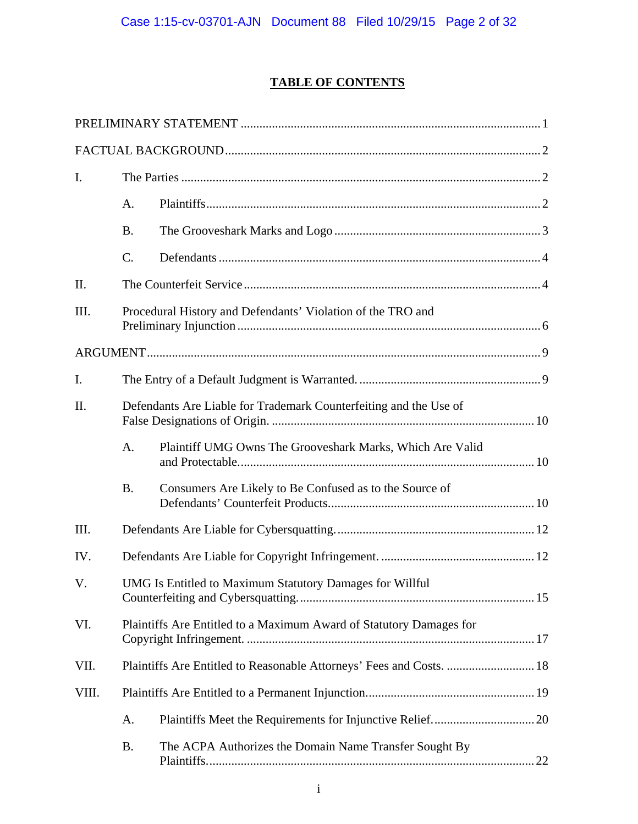# **TABLE OF CONTENTS**

| I.    |                                                                      |                                                           |  |  |  |
|-------|----------------------------------------------------------------------|-----------------------------------------------------------|--|--|--|
|       | A.                                                                   |                                                           |  |  |  |
|       | <b>B.</b>                                                            |                                                           |  |  |  |
|       | C.                                                                   |                                                           |  |  |  |
| II.   |                                                                      |                                                           |  |  |  |
| III.  | Procedural History and Defendants' Violation of the TRO and          |                                                           |  |  |  |
|       |                                                                      |                                                           |  |  |  |
| I.    |                                                                      |                                                           |  |  |  |
| II.   | Defendants Are Liable for Trademark Counterfeiting and the Use of    |                                                           |  |  |  |
|       | A.                                                                   | Plaintiff UMG Owns The Grooveshark Marks, Which Are Valid |  |  |  |
|       | <b>B.</b>                                                            | Consumers Are Likely to Be Confused as to the Source of   |  |  |  |
| III.  |                                                                      |                                                           |  |  |  |
| IV.   |                                                                      |                                                           |  |  |  |
| V.    | UMG Is Entitled to Maximum Statutory Damages for Willful             |                                                           |  |  |  |
| VI.   | Plaintiffs Are Entitled to a Maximum Award of Statutory Damages for  |                                                           |  |  |  |
| VII.  | Plaintiffs Are Entitled to Reasonable Attorneys' Fees and Costs.  18 |                                                           |  |  |  |
| VIII. |                                                                      |                                                           |  |  |  |
|       | A.                                                                   |                                                           |  |  |  |
|       | <b>B.</b>                                                            | The ACPA Authorizes the Domain Name Transfer Sought By    |  |  |  |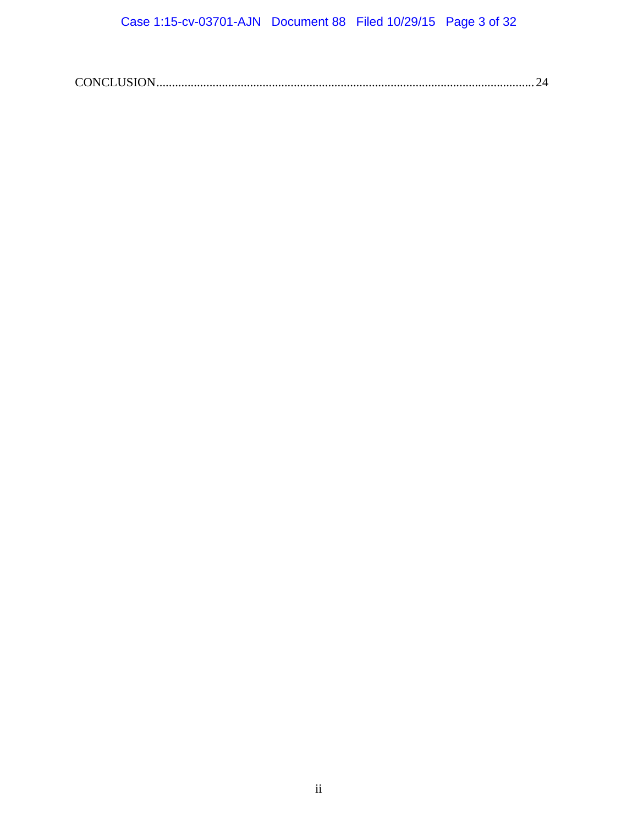|--|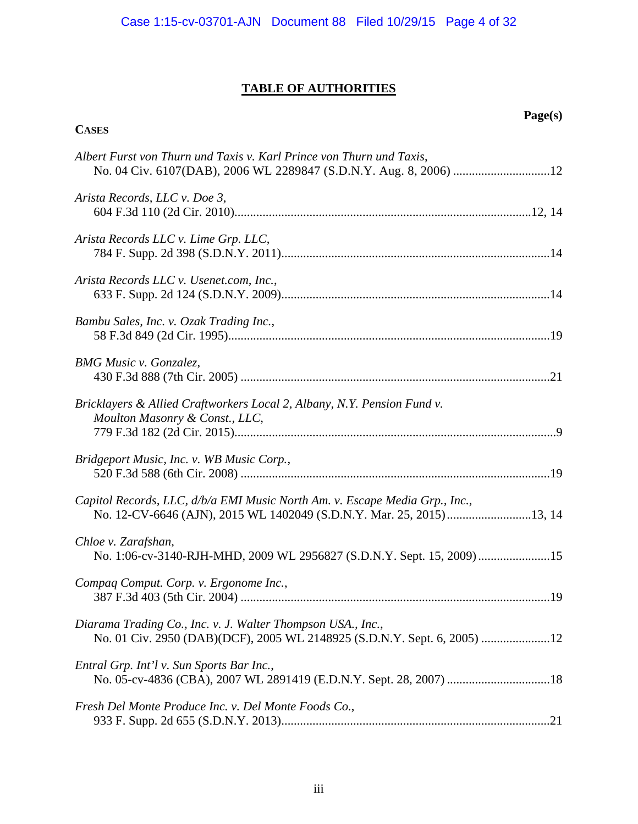# **TABLE OF AUTHORITIES**

**CASES**

# **Page(s)**

| Albert Furst von Thurn und Taxis v. Karl Prince von Thurn und Taxis,                                                                                 |
|------------------------------------------------------------------------------------------------------------------------------------------------------|
| Arista Records, LLC v. Doe 3,                                                                                                                        |
| Arista Records LLC v. Lime Grp. LLC,                                                                                                                 |
| Arista Records LLC v. Usenet.com, Inc.,                                                                                                              |
| Bambu Sales, Inc. v. Ozak Trading Inc.,                                                                                                              |
| <b>BMG</b> Music v. Gonzalez,                                                                                                                        |
| Bricklayers & Allied Craftworkers Local 2, Albany, N.Y. Pension Fund v.<br>Moulton Masonry & Const., LLC,                                            |
| Bridgeport Music, Inc. v. WB Music Corp.,                                                                                                            |
| Capitol Records, LLC, d/b/a EMI Music North Am. v. Escape Media Grp., Inc.,<br>No. 12-CV-6646 (AJN), 2015 WL 1402049 (S.D.N.Y. Mar. 25, 2015) 13, 14 |
| Chloe v. Zarafshan,<br>No. 1:06-cv-3140-RJH-MHD, 2009 WL 2956827 (S.D.N.Y. Sept. 15, 2009) 15                                                        |
| Compaq Comput. Corp. v. Ergonome Inc.,                                                                                                               |
| Diarama Trading Co., Inc. v. J. Walter Thompson USA., Inc.,<br>No. 01 Civ. 2950 (DAB)(DCF), 2005 WL 2148925 (S.D.N.Y. Sept. 6, 2005) 12              |
| Entral Grp. Int'l v. Sun Sports Bar Inc.,                                                                                                            |
| Fresh Del Monte Produce Inc. v. Del Monte Foods Co.,                                                                                                 |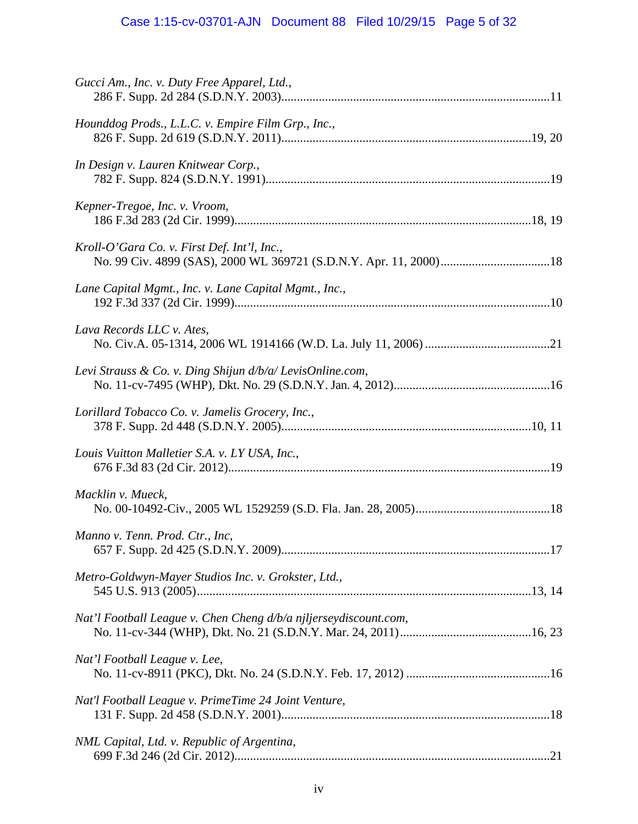# Case 1:15-cv-03701-AJN Document 88 Filed 10/29/15 Page 5 of 32

| Gucci Am., Inc. v. Duty Free Apparel, Ltd.,                      |
|------------------------------------------------------------------|
| Hounddog Prods., L.L.C. v. Empire Film Grp., Inc.,               |
| In Design v. Lauren Knitwear Corp.,                              |
| Kepner-Tregoe, Inc. v. Vroom,                                    |
| Kroll-O'Gara Co. v. First Def. Int'l, Inc.,                      |
| Lane Capital Mgmt., Inc. v. Lane Capital Mgmt., Inc.,            |
| Lava Records LLC v. Ates,                                        |
| Levi Strauss & Co. v. Ding Shijun $d/b/a$ LevisOnline.com,       |
| Lorillard Tobacco Co. v. Jamelis Grocery, Inc.,                  |
| Louis Vuitton Malletier S.A. v. LY USA, Inc.,                    |
| Macklin v. Mueck,                                                |
| Manno v. Tenn. Prod. Ctr., Inc,                                  |
| Metro-Goldwyn-Mayer Studios Inc. v. Grokster, Ltd.,              |
| Nat'l Football League v. Chen Cheng d/b/a njljerseydiscount.com, |
| Nat'l Football League v. Lee,                                    |
| Nat'l Football League v. PrimeTime 24 Joint Venture,             |
| NML Capital, Ltd. v. Republic of Argentina,                      |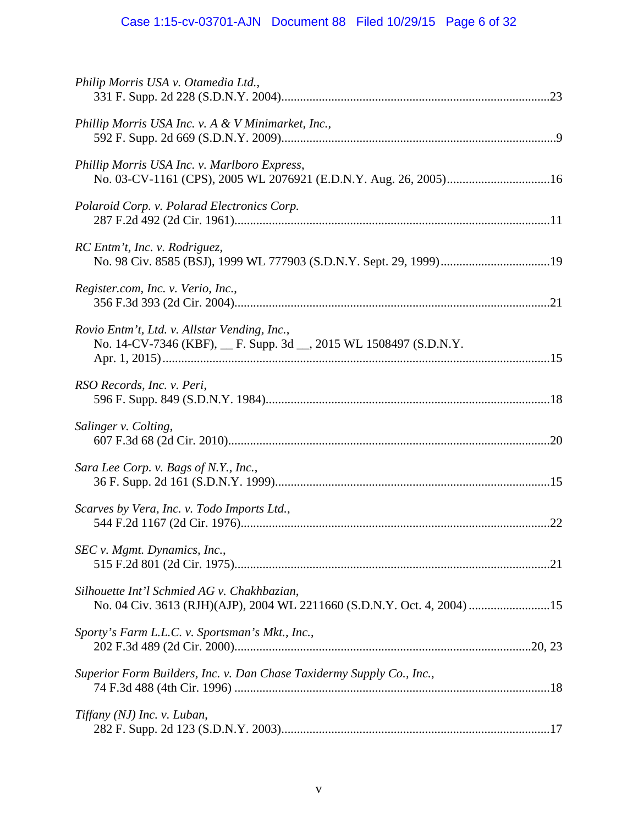# Case 1:15-cv-03701-AJN Document 88 Filed 10/29/15 Page 6 of 32

| Philip Morris USA v. Otamedia Ltd.,                                                                                    |  |
|------------------------------------------------------------------------------------------------------------------------|--|
| Phillip Morris USA Inc. v. A & V Minimarket, Inc.,                                                                     |  |
| Phillip Morris USA Inc. v. Marlboro Express,                                                                           |  |
| Polaroid Corp. v. Polarad Electronics Corp.                                                                            |  |
| RC Entm't, Inc. v. Rodriguez,                                                                                          |  |
| Register.com, Inc. v. Verio, Inc.,                                                                                     |  |
| Rovio Entm't, Ltd. v. Allstar Vending, Inc.,<br>No. 14-CV-7346 (KBF), __ F. Supp. 3d __, 2015 WL 1508497 (S.D.N.Y.     |  |
| RSO Records, Inc. v. Peri,                                                                                             |  |
| Salinger v. Colting,                                                                                                   |  |
| Sara Lee Corp. v. Bags of N.Y., Inc.,                                                                                  |  |
| Scarves by Vera, Inc. v. Todo Imports Ltd.,                                                                            |  |
| SEC v. Mgmt. Dynamics, Inc.,                                                                                           |  |
| Silhouette Int'l Schmied AG v. Chakhbazian,<br>No. 04 Civ. 3613 (RJH)(AJP), 2004 WL 2211660 (S.D.N.Y. Oct. 4, 2004) 15 |  |
| Sporty's Farm L.L.C. v. Sportsman's Mkt., Inc.,                                                                        |  |
| Superior Form Builders, Inc. v. Dan Chase Taxidermy Supply Co., Inc.,                                                  |  |
| Tiffany (NJ) Inc. v. Luban,                                                                                            |  |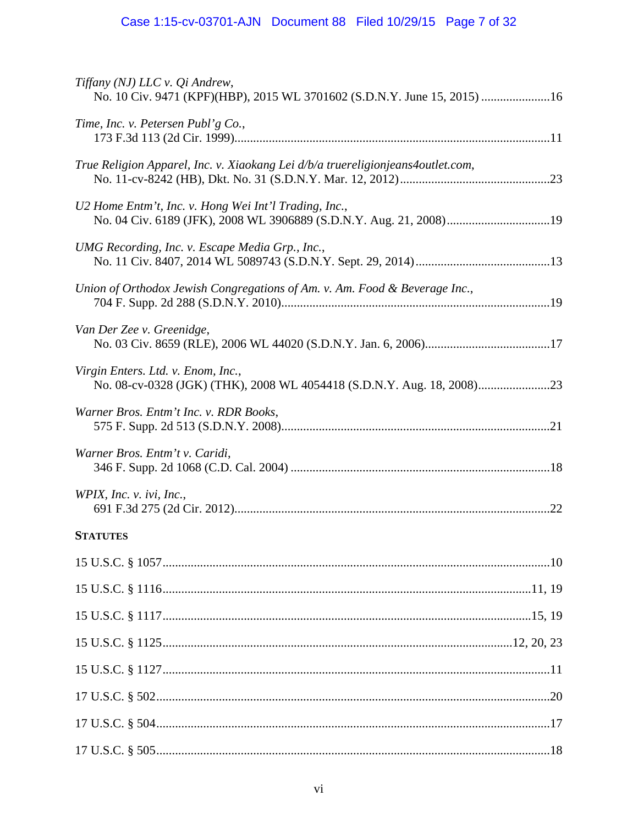| Tiffany (NJ) LLC v. Qi Andrew,<br>No. 10 Civ. 9471 (KPF)(HBP), 2015 WL 3701602 (S.D.N.Y. June 15, 2015) 16                  |
|-----------------------------------------------------------------------------------------------------------------------------|
| Time, Inc. v. Petersen Publ'g Co.,                                                                                          |
| True Religion Apparel, Inc. v. Xiaokang Lei d/b/a truereligionjeans4outlet.com,                                             |
| U2 Home Entm't, Inc. v. Hong Wei Int'l Trading, Inc.,<br>No. 04 Civ. 6189 (JFK), 2008 WL 3906889 (S.D.N.Y. Aug. 21, 2008)19 |
| UMG Recording, Inc. v. Escape Media Grp., Inc.,                                                                             |
| Union of Orthodox Jewish Congregations of Am. v. Am. Food & Beverage Inc.,                                                  |
| Van Der Zee v. Greenidge,                                                                                                   |
| Virgin Enters. Ltd. v. Enom, Inc.,                                                                                          |
| Warner Bros. Entm't Inc. v. RDR Books,                                                                                      |
| Warner Bros. Entm't v. Caridi,                                                                                              |
| WPIX, Inc. v. ivi, Inc.,                                                                                                    |
| <b>STATUTES</b>                                                                                                             |
|                                                                                                                             |
|                                                                                                                             |
|                                                                                                                             |
|                                                                                                                             |
|                                                                                                                             |
|                                                                                                                             |
|                                                                                                                             |
|                                                                                                                             |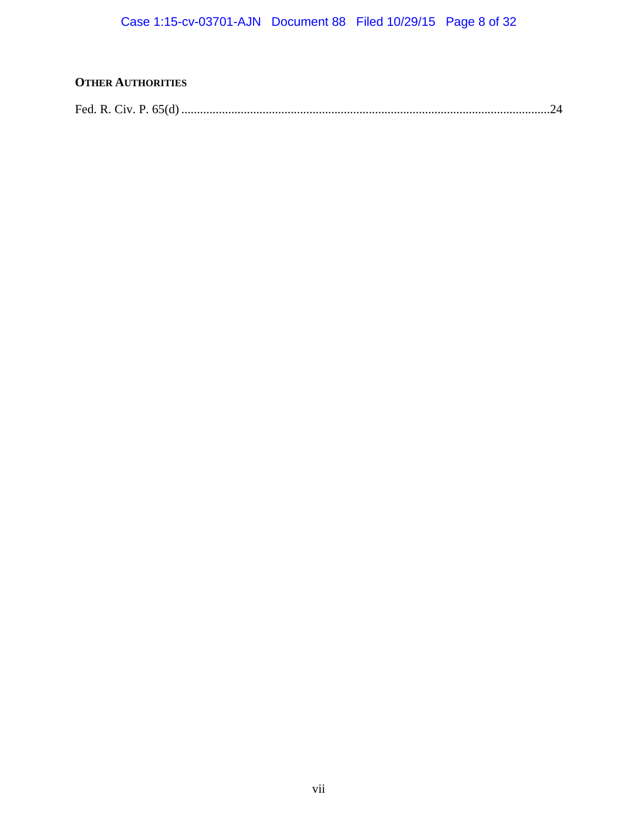# **OTHER AUTHORITIES**

|--|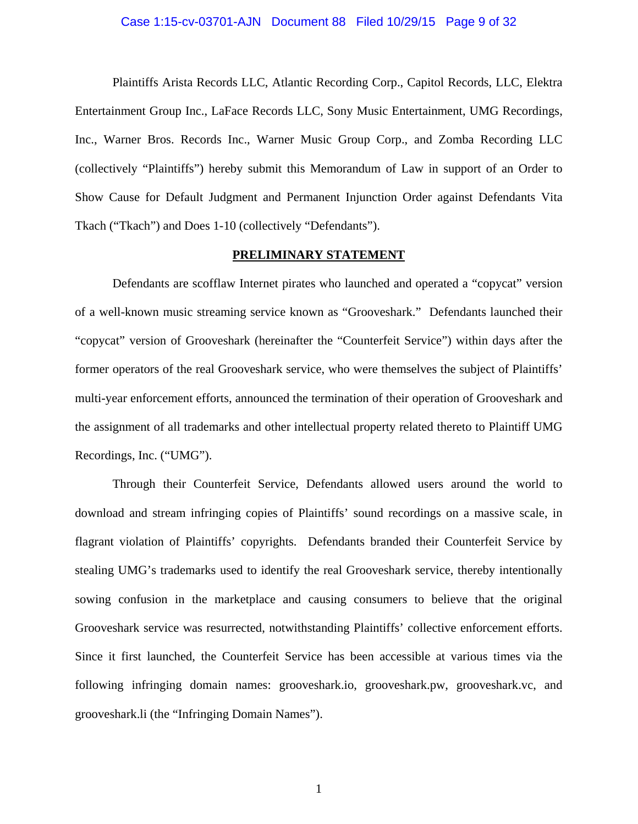### Case 1:15-cv-03701-AJN Document 88 Filed 10/29/15 Page 9 of 32

Plaintiffs Arista Records LLC, Atlantic Recording Corp., Capitol Records, LLC, Elektra Entertainment Group Inc., LaFace Records LLC, Sony Music Entertainment, UMG Recordings, Inc., Warner Bros. Records Inc., Warner Music Group Corp., and Zomba Recording LLC (collectively "Plaintiffs") hereby submit this Memorandum of Law in support of an Order to Show Cause for Default Judgment and Permanent Injunction Order against Defendants Vita Tkach ("Tkach") and Does 1-10 (collectively "Defendants").

#### **PRELIMINARY STATEMENT**

Defendants are scofflaw Internet pirates who launched and operated a "copycat" version of a well-known music streaming service known as "Grooveshark." Defendants launched their "copycat" version of Grooveshark (hereinafter the "Counterfeit Service") within days after the former operators of the real Grooveshark service, who were themselves the subject of Plaintiffs' multi-year enforcement efforts, announced the termination of their operation of Grooveshark and the assignment of all trademarks and other intellectual property related thereto to Plaintiff UMG Recordings, Inc. ("UMG").

Through their Counterfeit Service, Defendants allowed users around the world to download and stream infringing copies of Plaintiffs' sound recordings on a massive scale, in flagrant violation of Plaintiffs' copyrights. Defendants branded their Counterfeit Service by stealing UMG's trademarks used to identify the real Grooveshark service, thereby intentionally sowing confusion in the marketplace and causing consumers to believe that the original Grooveshark service was resurrected, notwithstanding Plaintiffs' collective enforcement efforts. Since it first launched, the Counterfeit Service has been accessible at various times via the following infringing domain names: grooveshark.io, grooveshark.pw, grooveshark.vc, and grooveshark.li (the "Infringing Domain Names").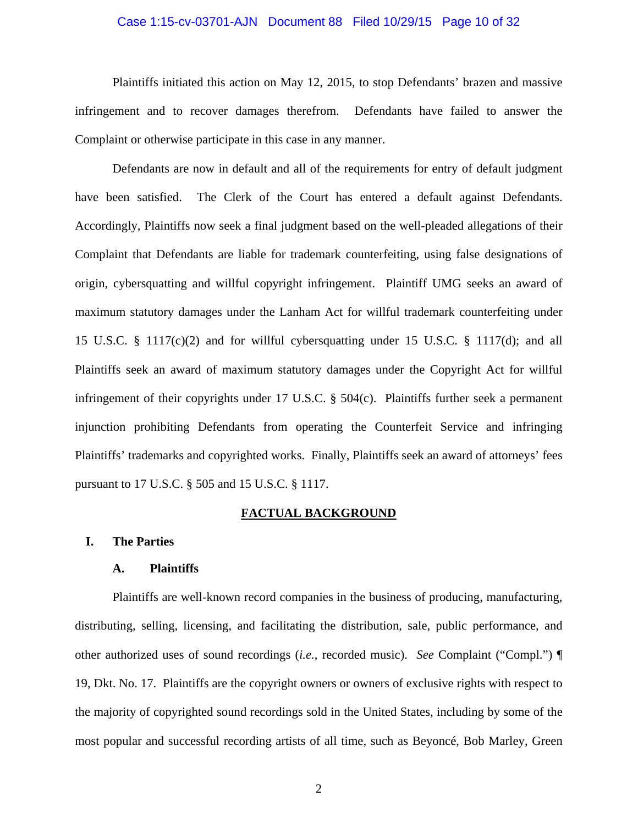# Case 1:15-cv-03701-AJN Document 88 Filed 10/29/15 Page 10 of 32

Plaintiffs initiated this action on May 12, 2015, to stop Defendants' brazen and massive infringement and to recover damages therefrom. Defendants have failed to answer the Complaint or otherwise participate in this case in any manner.

Defendants are now in default and all of the requirements for entry of default judgment have been satisfied. The Clerk of the Court has entered a default against Defendants. Accordingly, Plaintiffs now seek a final judgment based on the well-pleaded allegations of their Complaint that Defendants are liable for trademark counterfeiting, using false designations of origin, cybersquatting and willful copyright infringement. Plaintiff UMG seeks an award of maximum statutory damages under the Lanham Act for willful trademark counterfeiting under 15 U.S.C. § 1117(c)(2) and for willful cybersquatting under 15 U.S.C. § 1117(d); and all Plaintiffs seek an award of maximum statutory damages under the Copyright Act for willful infringement of their copyrights under 17 U.S.C. § 504(c). Plaintiffs further seek a permanent injunction prohibiting Defendants from operating the Counterfeit Service and infringing Plaintiffs' trademarks and copyrighted works. Finally, Plaintiffs seek an award of attorneys' fees pursuant to 17 U.S.C. § 505 and 15 U.S.C. § 1117.

#### **FACTUAL BACKGROUND**

#### **I. The Parties**

#### **A. Plaintiffs**

Plaintiffs are well-known record companies in the business of producing, manufacturing, distributing, selling, licensing, and facilitating the distribution, sale, public performance, and other authorized uses of sound recordings (*i.e.*, recorded music). *See* Complaint ("Compl.") ¶ 19, Dkt. No. 17. Plaintiffs are the copyright owners or owners of exclusive rights with respect to the majority of copyrighted sound recordings sold in the United States, including by some of the most popular and successful recording artists of all time, such as Beyoncé, Bob Marley, Green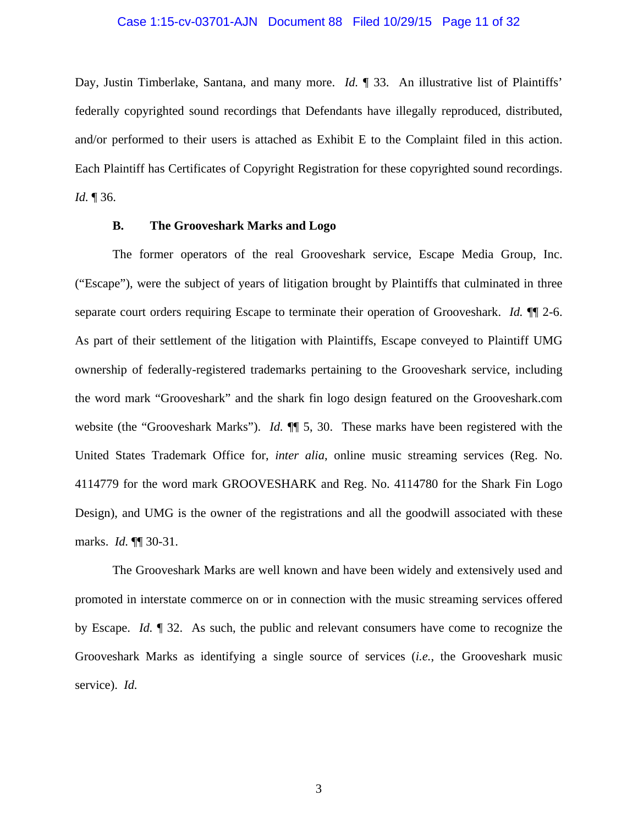### Case 1:15-cv-03701-AJN Document 88 Filed 10/29/15 Page 11 of 32

Day, Justin Timberlake, Santana, and many more. *Id.* 1 33. An illustrative list of Plaintiffs' federally copyrighted sound recordings that Defendants have illegally reproduced, distributed, and/or performed to their users is attached as Exhibit E to the Complaint filed in this action. Each Plaintiff has Certificates of Copyright Registration for these copyrighted sound recordings. *Id.* ¶ 36.

### **B. The Grooveshark Marks and Logo**

The former operators of the real Grooveshark service, Escape Media Group, Inc. ("Escape"), were the subject of years of litigation brought by Plaintiffs that culminated in three separate court orders requiring Escape to terminate their operation of Grooveshark. *Id.* ¶¶ 2-6. As part of their settlement of the litigation with Plaintiffs, Escape conveyed to Plaintiff UMG ownership of federally-registered trademarks pertaining to the Grooveshark service, including the word mark "Grooveshark" and the shark fin logo design featured on the Grooveshark.com website (the "Grooveshark Marks"). *Id.* ¶¶ 5, 30. These marks have been registered with the United States Trademark Office for, *inter alia*, online music streaming services (Reg. No. 4114779 for the word mark GROOVESHARK and Reg. No. 4114780 for the Shark Fin Logo Design), and UMG is the owner of the registrations and all the goodwill associated with these marks. *Id.* ¶¶ 30-31.

The Grooveshark Marks are well known and have been widely and extensively used and promoted in interstate commerce on or in connection with the music streaming services offered by Escape. *Id.* ¶ 32. As such, the public and relevant consumers have come to recognize the Grooveshark Marks as identifying a single source of services (*i.e.*, the Grooveshark music service). *Id.*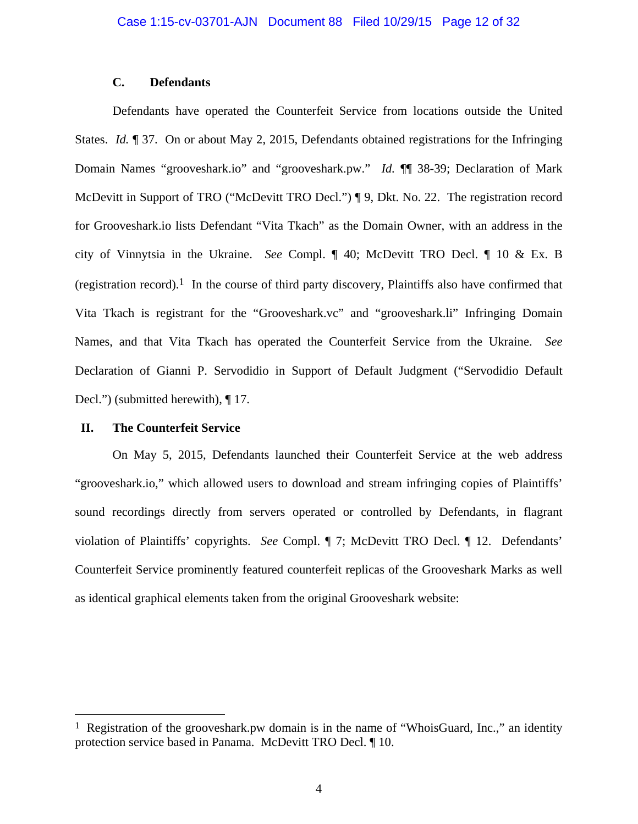### **C. Defendants**

Defendants have operated the Counterfeit Service from locations outside the United States. *Id.* ¶ 37. On or about May 2, 2015, Defendants obtained registrations for the Infringing Domain Names "grooveshark.io" and "grooveshark.pw." *Id.* ¶¶ 38-39; Declaration of Mark McDevitt in Support of TRO ("McDevitt TRO Decl.") ¶ 9, Dkt. No. 22. The registration record for Grooveshark.io lists Defendant "Vita Tkach" as the Domain Owner, with an address in the city of Vinnytsia in the Ukraine. *See* Compl. ¶ 40; McDevitt TRO Decl. ¶ 10 & Ex. B (registration record).<sup>1</sup> In the course of third party discovery, Plaintiffs also have confirmed that Vita Tkach is registrant for the "Grooveshark.vc" and "grooveshark.li" Infringing Domain Names, and that Vita Tkach has operated the Counterfeit Service from the Ukraine. *See* Declaration of Gianni P. Servodidio in Support of Default Judgment ("Servodidio Default Decl.") (submitted herewith), ¶17.

### **II. The Counterfeit Service**

1

On May 5, 2015, Defendants launched their Counterfeit Service at the web address "grooveshark.io," which allowed users to download and stream infringing copies of Plaintiffs' sound recordings directly from servers operated or controlled by Defendants, in flagrant violation of Plaintiffs' copyrights. *See* Compl. ¶ 7; McDevitt TRO Decl. ¶ 12. Defendants' Counterfeit Service prominently featured counterfeit replicas of the Grooveshark Marks as well as identical graphical elements taken from the original Grooveshark website:

<sup>&</sup>lt;sup>1</sup> Registration of the grooveshark.pw domain is in the name of "WhoisGuard, Inc.," an identity protection service based in Panama. McDevitt TRO Decl. ¶ 10.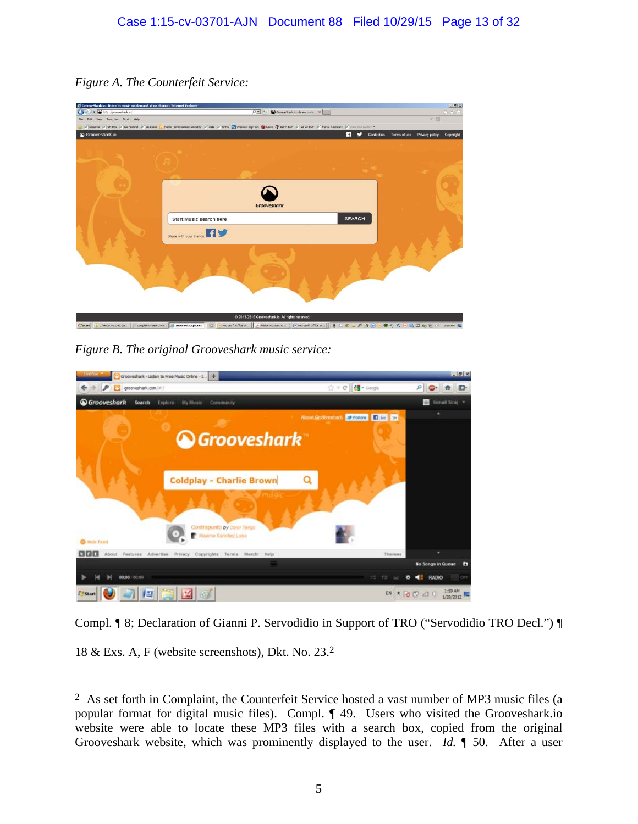*Figure A. The Counterfeit Service:* 

| http://grooveshark.io/                                                                                                                                                      |                                       |                                                  | $\begin{array}{ c c c c }\hline \multicolumn{1}{ c }{\mathop{\triangleright}} & \multicolumn{1}{ c }{\mathop{\triangleright}} & \multicolumn{1}{ c }{\mathop{\triangleright}} & \multicolumn{1}{ c }{\mathop{\triangleright}} & \multicolumn{1}{ c }{\mathop{\triangleright}} & \multicolumn{1}{ c }{\mathop{\triangleright}} & \multicolumn{1}{ c }{\mathop{\triangleright}} & \multicolumn{1}{ c }{\mathop{\triangleright}} & \multicolumn{1}{ c }{\mathop{\triangleright}} & \multicolumn{1}{ c }{\mathop{\triangleright}} & \multic$ |                      |              |                | (一) 中间    |
|-----------------------------------------------------------------------------------------------------------------------------------------------------------------------------|---------------------------------------|--------------------------------------------------|------------------------------------------------------------------------------------------------------------------------------------------------------------------------------------------------------------------------------------------------------------------------------------------------------------------------------------------------------------------------------------------------------------------------------------------------------------------------------------------------------------------------------------------|----------------------|--------------|----------------|-----------|
| View Favorites Tools Help                                                                                                                                                   |                                       |                                                  |                                                                                                                                                                                                                                                                                                                                                                                                                                                                                                                                          |                      |              | ×回             |           |
| Discover 2 GMOTE 2 GS Federal 2 GS State 1 Home - Smithsonan Directiv 2 BSS 2 19945 2 window Sign On 10 Lease 2 State COF 2 2d Cr ECF 2 Trans. Remburs 2 win Sice Colley, . |                                       |                                                  |                                                                                                                                                                                                                                                                                                                                                                                                                                                                                                                                          |                      |              |                |           |
| Grooveshark.io                                                                                                                                                              |                                       |                                                  |                                                                                                                                                                                                                                                                                                                                                                                                                                                                                                                                          | n<br>v<br>Contact us | Terms of use | Privacy policy | Copyright |
|                                                                                                                                                                             |                                       |                                                  |                                                                                                                                                                                                                                                                                                                                                                                                                                                                                                                                          |                      |              |                |           |
|                                                                                                                                                                             |                                       |                                                  |                                                                                                                                                                                                                                                                                                                                                                                                                                                                                                                                          |                      |              |                |           |
|                                                                                                                                                                             |                                       |                                                  |                                                                                                                                                                                                                                                                                                                                                                                                                                                                                                                                          |                      |              |                |           |
|                                                                                                                                                                             |                                       |                                                  |                                                                                                                                                                                                                                                                                                                                                                                                                                                                                                                                          |                      |              |                |           |
|                                                                                                                                                                             |                                       |                                                  |                                                                                                                                                                                                                                                                                                                                                                                                                                                                                                                                          |                      |              |                |           |
|                                                                                                                                                                             |                                       |                                                  |                                                                                                                                                                                                                                                                                                                                                                                                                                                                                                                                          |                      |              |                |           |
|                                                                                                                                                                             |                                       |                                                  |                                                                                                                                                                                                                                                                                                                                                                                                                                                                                                                                          |                      |              |                |           |
|                                                                                                                                                                             |                                       |                                                  |                                                                                                                                                                                                                                                                                                                                                                                                                                                                                                                                          |                      |              |                |           |
|                                                                                                                                                                             |                                       | <b>Grooveshark</b>                               |                                                                                                                                                                                                                                                                                                                                                                                                                                                                                                                                          |                      |              |                |           |
|                                                                                                                                                                             | Start Music search here               |                                                  |                                                                                                                                                                                                                                                                                                                                                                                                                                                                                                                                          | SEARCH               |              |                |           |
|                                                                                                                                                                             |                                       |                                                  |                                                                                                                                                                                                                                                                                                                                                                                                                                                                                                                                          |                      |              |                |           |
|                                                                                                                                                                             | <b>ny</b><br>Share with your friends: |                                                  |                                                                                                                                                                                                                                                                                                                                                                                                                                                                                                                                          |                      |              |                |           |
|                                                                                                                                                                             |                                       |                                                  |                                                                                                                                                                                                                                                                                                                                                                                                                                                                                                                                          |                      |              |                |           |
|                                                                                                                                                                             |                                       |                                                  |                                                                                                                                                                                                                                                                                                                                                                                                                                                                                                                                          |                      |              |                |           |
|                                                                                                                                                                             |                                       |                                                  |                                                                                                                                                                                                                                                                                                                                                                                                                                                                                                                                          |                      |              |                |           |
|                                                                                                                                                                             |                                       |                                                  |                                                                                                                                                                                                                                                                                                                                                                                                                                                                                                                                          |                      |              |                |           |
|                                                                                                                                                                             |                                       |                                                  |                                                                                                                                                                                                                                                                                                                                                                                                                                                                                                                                          |                      |              |                |           |
|                                                                                                                                                                             |                                       |                                                  |                                                                                                                                                                                                                                                                                                                                                                                                                                                                                                                                          |                      |              |                |           |
|                                                                                                                                                                             |                                       |                                                  |                                                                                                                                                                                                                                                                                                                                                                                                                                                                                                                                          |                      |              |                |           |
|                                                                                                                                                                             |                                       |                                                  |                                                                                                                                                                                                                                                                                                                                                                                                                                                                                                                                          |                      |              |                |           |
|                                                                                                                                                                             |                                       |                                                  |                                                                                                                                                                                                                                                                                                                                                                                                                                                                                                                                          |                      |              |                |           |
|                                                                                                                                                                             |                                       | C 2013-2015 Grooveshark io. All rights reserved. |                                                                                                                                                                                                                                                                                                                                                                                                                                                                                                                                          |                      |              |                |           |

*Figure B. The original Grooveshark music service:* 

| Firefox<br>Grooveshark - Listen to Free Music Online - I.                                                                                             |                                     | $-10 x $                                |
|-------------------------------------------------------------------------------------------------------------------------------------------------------|-------------------------------------|-----------------------------------------|
| P<br>grooveshark.com/#1/                                                                                                                              | ☆ v @ B + Google                    | я<br>E.                                 |
| <b>&amp; Grooveshark</b><br>Search<br>My Music<br>Explore<br>Community                                                                                |                                     | Ismail Straj<br><b>ID</b>               |
| <b>Grooveshark</b><br><b>Coldplay - Charlie Brown</b><br>melon                                                                                        | About Grotovestark S 12000 1 FDG 10 |                                         |
| Contrapunto by Color Tango<br>Maximo Sanchez Luna<br><sup>c</sup> mde Feed<br>888<br>About Festures Advertise Privacy Copyrights<br>Terms Merch! Help | Themes:                             | No Songs in Queue<br>Ð                  |
| 00:00 / 00:00                                                                                                                                         | 52<br>122<br>۰                      | RADIO<br>м÷<br>OFF                      |
| 『望<br>咝<br>67<br>Start                                                                                                                                |                                     | 1:59 AM<br>EN * 6 (2 d) ()<br>1/28/2012 |

Compl. ¶ 8; Declaration of Gianni P. Servodidio in Support of TRO ("Servodidio TRO Decl.") ¶

18 & Exs. A, F (website screenshots), Dkt. No. 23.2

<u>.</u>

<sup>2</sup> As set forth in Complaint, the Counterfeit Service hosted a vast number of MP3 music files (a popular format for digital music files). Compl. ¶ 49. Users who visited the Grooveshark.io website were able to locate these MP3 files with a search box, copied from the original Grooveshark website, which was prominently displayed to the user. *Id.* ¶ 50. After a user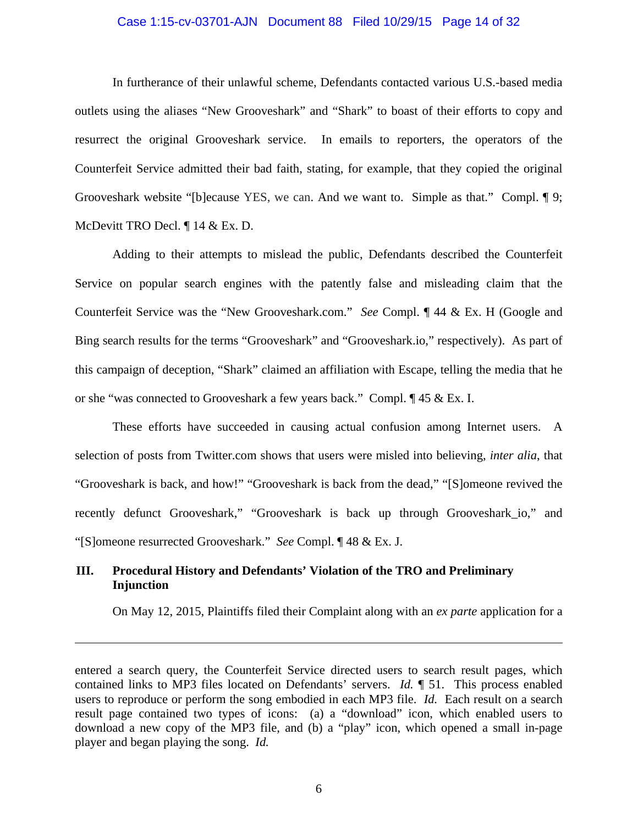#### Case 1:15-cv-03701-AJN Document 88 Filed 10/29/15 Page 14 of 32

In furtherance of their unlawful scheme, Defendants contacted various U.S.-based media outlets using the aliases "New Grooveshark" and "Shark" to boast of their efforts to copy and resurrect the original Grooveshark service. In emails to reporters, the operators of the Counterfeit Service admitted their bad faith, stating, for example, that they copied the original Grooveshark website "[b]ecause YES, we can. And we want to. Simple as that." Compl. ¶ 9; McDevitt TRO Decl. ¶ 14 & Ex. D.

Adding to their attempts to mislead the public, Defendants described the Counterfeit Service on popular search engines with the patently false and misleading claim that the Counterfeit Service was the "New Grooveshark.com." *See* Compl. ¶ 44 & Ex. H (Google and Bing search results for the terms "Grooveshark" and "Grooveshark.io," respectively). As part of this campaign of deception, "Shark" claimed an affiliation with Escape, telling the media that he or she "was connected to Grooveshark a few years back." Compl. ¶ 45 & Ex. I.

These efforts have succeeded in causing actual confusion among Internet users. A selection of posts from Twitter.com shows that users were misled into believing, *inter alia*, that "Grooveshark is back, and how!" "Grooveshark is back from the dead," "[S]omeone revived the recently defunct Grooveshark," "Grooveshark is back up through Grooveshark\_io," and "[S]omeone resurrected Grooveshark." *See* Compl. ¶ 48 & Ex. J.

## **III. Procedural History and Defendants' Violation of the TRO and Preliminary Injunction**

 $\overline{a}$ 

On May 12, 2015, Plaintiffs filed their Complaint along with an *ex parte* application for a

6

entered a search query, the Counterfeit Service directed users to search result pages, which contained links to MP3 files located on Defendants' servers. *Id.* ¶ 51. This process enabled users to reproduce or perform the song embodied in each MP3 file. *Id.* Each result on a search result page contained two types of icons: (a) a "download" icon, which enabled users to download a new copy of the MP3 file, and (b) a "play" icon, which opened a small in-page player and began playing the song. *Id.*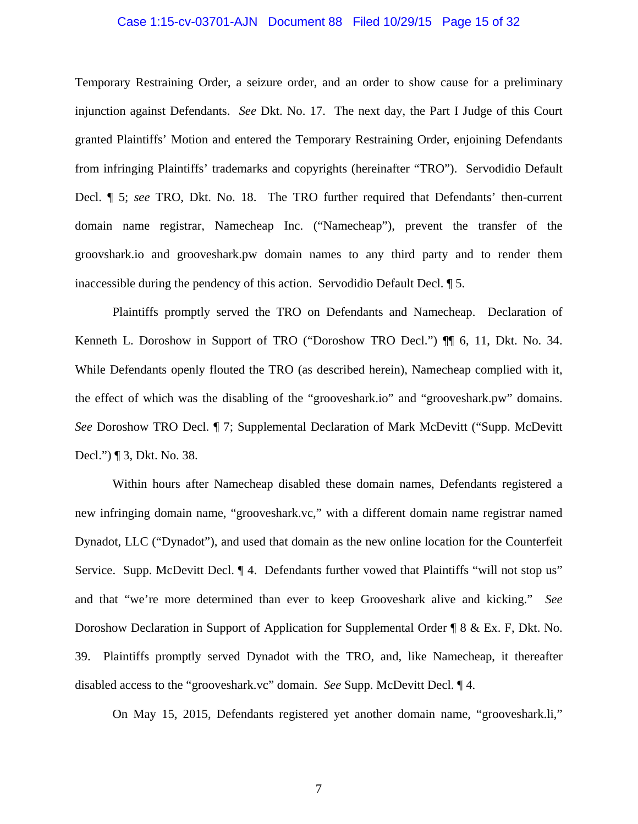### Case 1:15-cv-03701-AJN Document 88 Filed 10/29/15 Page 15 of 32

Temporary Restraining Order, a seizure order, and an order to show cause for a preliminary injunction against Defendants. *See* Dkt. No. 17. The next day, the Part I Judge of this Court granted Plaintiffs' Motion and entered the Temporary Restraining Order, enjoining Defendants from infringing Plaintiffs' trademarks and copyrights (hereinafter "TRO"). Servodidio Default Decl. ¶ 5; *see* TRO, Dkt. No. 18. The TRO further required that Defendants' then-current domain name registrar, Namecheap Inc. ("Namecheap"), prevent the transfer of the groovshark.io and grooveshark.pw domain names to any third party and to render them inaccessible during the pendency of this action. Servodidio Default Decl. ¶ 5.

Plaintiffs promptly served the TRO on Defendants and Namecheap. Declaration of Kenneth L. Doroshow in Support of TRO ("Doroshow TRO Decl.") ¶¶ 6, 11, Dkt. No. 34. While Defendants openly flouted the TRO (as described herein), Namecheap complied with it, the effect of which was the disabling of the "grooveshark.io" and "grooveshark.pw" domains. *See* Doroshow TRO Decl. ¶ 7; Supplemental Declaration of Mark McDevitt ("Supp. McDevitt Decl.") ¶ 3, Dkt. No. 38.

Within hours after Namecheap disabled these domain names, Defendants registered a new infringing domain name, "grooveshark.vc," with a different domain name registrar named Dynadot, LLC ("Dynadot"), and used that domain as the new online location for the Counterfeit Service. Supp. McDevitt Decl.  $\P$  4. Defendants further vowed that Plaintiffs "will not stop us" and that "we're more determined than ever to keep Grooveshark alive and kicking." *See* Doroshow Declaration in Support of Application for Supplemental Order ¶ 8 & Ex. F, Dkt. No. 39. Plaintiffs promptly served Dynadot with the TRO, and, like Namecheap, it thereafter disabled access to the "grooveshark.vc" domain. *See* Supp. McDevitt Decl. ¶ 4.

On May 15, 2015, Defendants registered yet another domain name, "grooveshark.li,"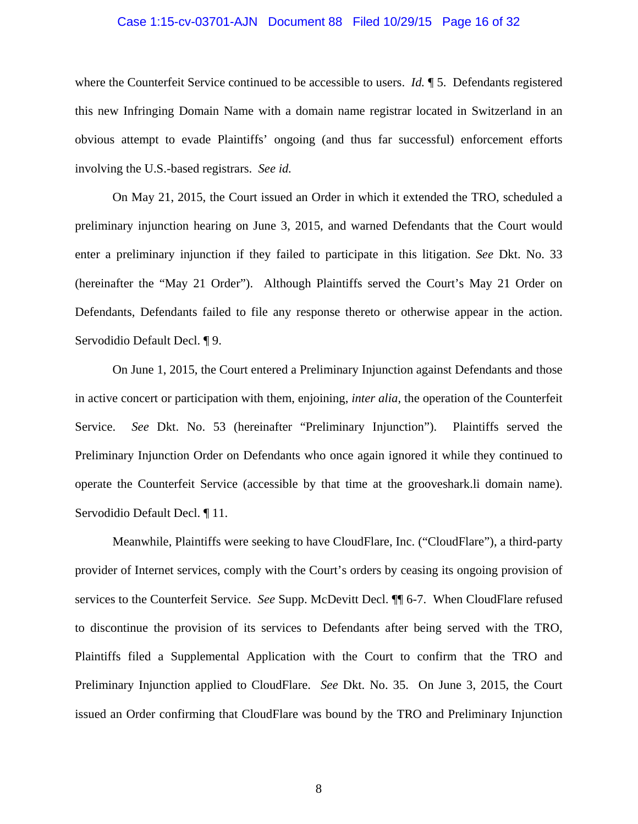### Case 1:15-cv-03701-AJN Document 88 Filed 10/29/15 Page 16 of 32

where the Counterfeit Service continued to be accessible to users. *Id.* ¶ 5. Defendants registered this new Infringing Domain Name with a domain name registrar located in Switzerland in an obvious attempt to evade Plaintiffs' ongoing (and thus far successful) enforcement efforts involving the U.S.-based registrars. *See id.*

On May 21, 2015, the Court issued an Order in which it extended the TRO, scheduled a preliminary injunction hearing on June 3, 2015, and warned Defendants that the Court would enter a preliminary injunction if they failed to participate in this litigation. *See* Dkt. No. 33 (hereinafter the "May 21 Order"). Although Plaintiffs served the Court's May 21 Order on Defendants, Defendants failed to file any response thereto or otherwise appear in the action. Servodidio Default Decl. ¶ 9.

On June 1, 2015, the Court entered a Preliminary Injunction against Defendants and those in active concert or participation with them, enjoining, *inter alia*, the operation of the Counterfeit Service. *See* Dkt. No. 53 (hereinafter "Preliminary Injunction"). Plaintiffs served the Preliminary Injunction Order on Defendants who once again ignored it while they continued to operate the Counterfeit Service (accessible by that time at the grooveshark.li domain name). Servodidio Default Decl. ¶ 11.

Meanwhile, Plaintiffs were seeking to have CloudFlare, Inc. ("CloudFlare"), a third-party provider of Internet services, comply with the Court's orders by ceasing its ongoing provision of services to the Counterfeit Service. *See* Supp. McDevitt Decl. ¶¶ 6-7. When CloudFlare refused to discontinue the provision of its services to Defendants after being served with the TRO, Plaintiffs filed a Supplemental Application with the Court to confirm that the TRO and Preliminary Injunction applied to CloudFlare. *See* Dkt. No. 35. On June 3, 2015, the Court issued an Order confirming that CloudFlare was bound by the TRO and Preliminary Injunction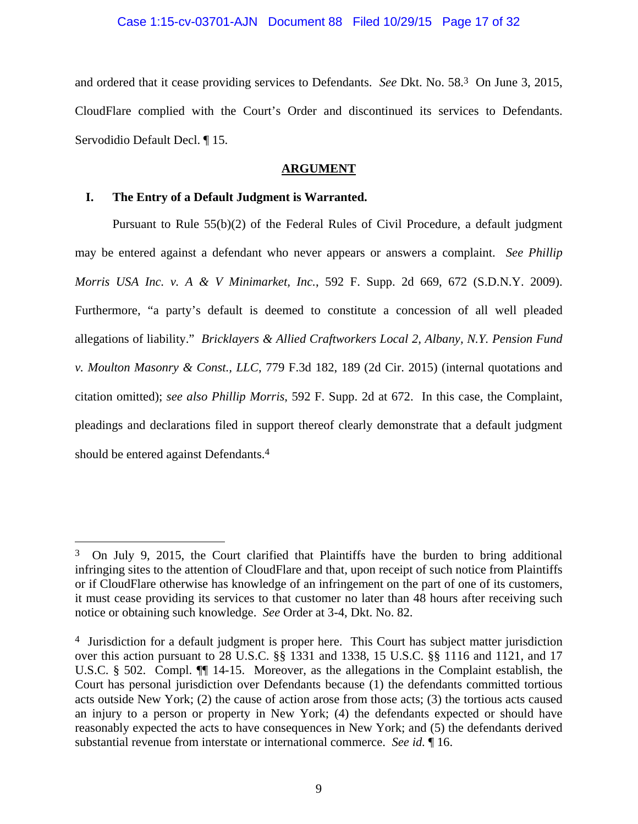### Case 1:15-cv-03701-AJN Document 88 Filed 10/29/15 Page 17 of 32

and ordered that it cease providing services to Defendants. *See* Dkt. No. 58.3 On June 3, 2015, CloudFlare complied with the Court's Order and discontinued its services to Defendants. Servodidio Default Decl. ¶ 15.

### **ARGUMENT**

### **I. The Entry of a Default Judgment is Warranted.**

 $\overline{a}$ 

Pursuant to Rule 55(b)(2) of the Federal Rules of Civil Procedure, a default judgment may be entered against a defendant who never appears or answers a complaint. *See Phillip Morris USA Inc. v. A & V Minimarket, Inc.*, 592 F. Supp. 2d 669, 672 (S.D.N.Y. 2009). Furthermore, "a party's default is deemed to constitute a concession of all well pleaded allegations of liability." *Bricklayers & Allied Craftworkers Local 2, Albany, N.Y. Pension Fund v. Moulton Masonry & Const., LLC*, 779 F.3d 182, 189 (2d Cir. 2015) (internal quotations and citation omitted); *see also Phillip Morris*, 592 F. Supp. 2d at 672. In this case, the Complaint, pleadings and declarations filed in support thereof clearly demonstrate that a default judgment should be entered against Defendants.4

<sup>3</sup> On July 9, 2015, the Court clarified that Plaintiffs have the burden to bring additional infringing sites to the attention of CloudFlare and that, upon receipt of such notice from Plaintiffs or if CloudFlare otherwise has knowledge of an infringement on the part of one of its customers, it must cease providing its services to that customer no later than 48 hours after receiving such notice or obtaining such knowledge. *See* Order at 3-4, Dkt. No. 82.

<sup>4</sup> Jurisdiction for a default judgment is proper here. This Court has subject matter jurisdiction over this action pursuant to 28 U.S.C. §§ 1331 and 1338, 15 U.S.C. §§ 1116 and 1121, and 17 U.S.C. § 502. Compl. ¶¶ 14-15. Moreover, as the allegations in the Complaint establish, the Court has personal jurisdiction over Defendants because (1) the defendants committed tortious acts outside New York; (2) the cause of action arose from those acts; (3) the tortious acts caused an injury to a person or property in New York; (4) the defendants expected or should have reasonably expected the acts to have consequences in New York; and (5) the defendants derived substantial revenue from interstate or international commerce. *See id.* ¶ 16.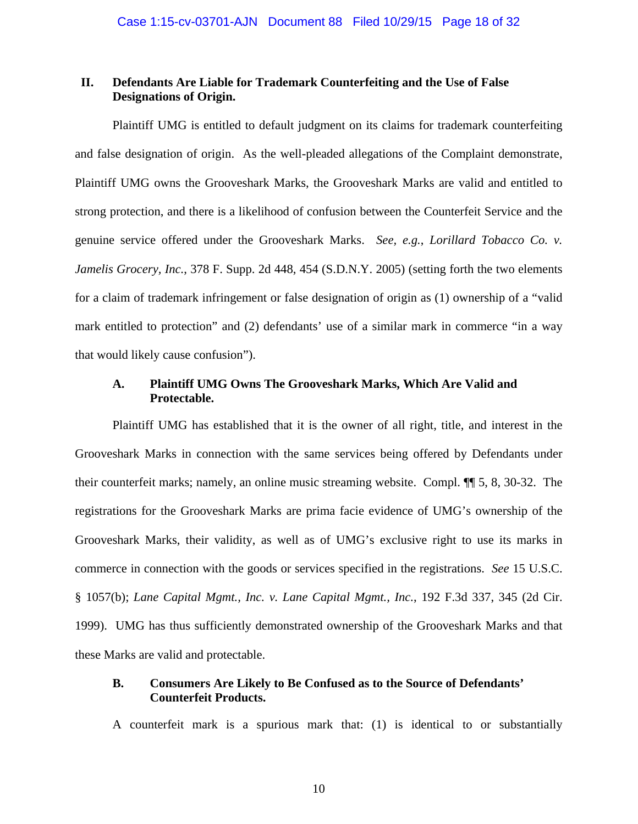### **II. Defendants Are Liable for Trademark Counterfeiting and the Use of False Designations of Origin.**

Plaintiff UMG is entitled to default judgment on its claims for trademark counterfeiting and false designation of origin. As the well-pleaded allegations of the Complaint demonstrate, Plaintiff UMG owns the Grooveshark Marks, the Grooveshark Marks are valid and entitled to strong protection, and there is a likelihood of confusion between the Counterfeit Service and the genuine service offered under the Grooveshark Marks. *See, e.g.*, *Lorillard Tobacco Co. v. Jamelis Grocery, Inc.*, 378 F. Supp. 2d 448, 454 (S.D.N.Y. 2005) (setting forth the two elements for a claim of trademark infringement or false designation of origin as (1) ownership of a "valid mark entitled to protection" and (2) defendants' use of a similar mark in commerce "in a way that would likely cause confusion").

## **A. Plaintiff UMG Owns The Grooveshark Marks, Which Are Valid and Protectable.**

Plaintiff UMG has established that it is the owner of all right, title, and interest in the Grooveshark Marks in connection with the same services being offered by Defendants under their counterfeit marks; namely, an online music streaming website. Compl. ¶¶ 5, 8, 30-32. The registrations for the Grooveshark Marks are prima facie evidence of UMG's ownership of the Grooveshark Marks, their validity, as well as of UMG's exclusive right to use its marks in commerce in connection with the goods or services specified in the registrations. *See* 15 U.S.C. § 1057(b); *Lane Capital Mgmt., Inc. v. Lane Capital Mgmt., Inc.*, 192 F.3d 337, 345 (2d Cir. 1999). UMG has thus sufficiently demonstrated ownership of the Grooveshark Marks and that these Marks are valid and protectable.

### **B. Consumers Are Likely to Be Confused as to the Source of Defendants' Counterfeit Products.**

A counterfeit mark is a spurious mark that: (1) is identical to or substantially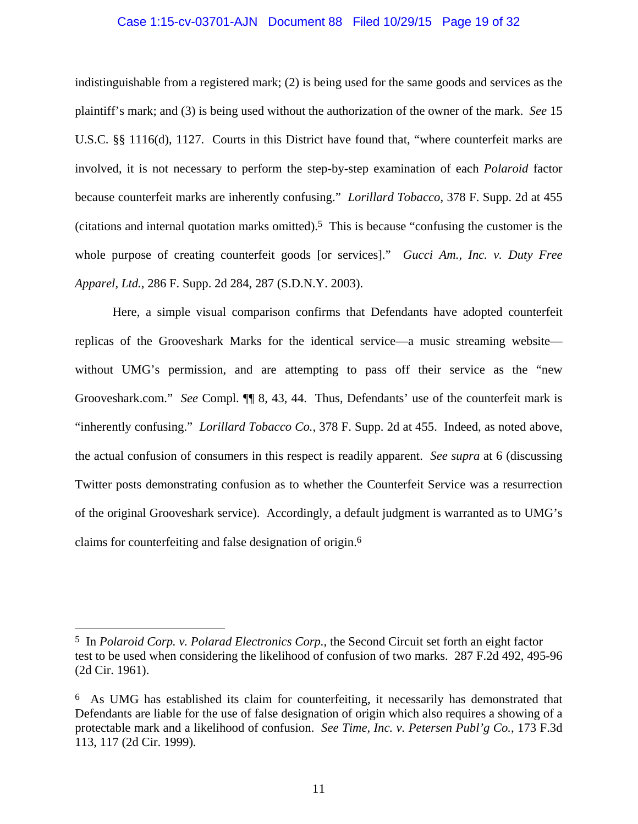### Case 1:15-cv-03701-AJN Document 88 Filed 10/29/15 Page 19 of 32

indistinguishable from a registered mark; (2) is being used for the same goods and services as the plaintiff's mark; and (3) is being used without the authorization of the owner of the mark. *See* 15 U.S.C. §§ 1116(d), 1127. Courts in this District have found that, "where counterfeit marks are involved, it is not necessary to perform the step-by-step examination of each *Polaroid* factor because counterfeit marks are inherently confusing." *Lorillard Tobacco*, 378 F. Supp. 2d at 455 (citations and internal quotation marks omitted).5 This is because "confusing the customer is the whole purpose of creating counterfeit goods [or services]." *Gucci Am., Inc. v. Duty Free Apparel, Ltd.*, 286 F. Supp. 2d 284, 287 (S.D.N.Y. 2003).

Here, a simple visual comparison confirms that Defendants have adopted counterfeit replicas of the Grooveshark Marks for the identical service—a music streaming website without UMG's permission, and are attempting to pass off their service as the "new Grooveshark.com." *See* Compl. ¶¶ 8, 43, 44. Thus, Defendants' use of the counterfeit mark is "inherently confusing." *Lorillard Tobacco Co.*, 378 F. Supp. 2d at 455. Indeed, as noted above, the actual confusion of consumers in this respect is readily apparent. *See supra* at 6 (discussing Twitter posts demonstrating confusion as to whether the Counterfeit Service was a resurrection of the original Grooveshark service). Accordingly, a default judgment is warranted as to UMG's claims for counterfeiting and false designation of origin.6

 $\overline{a}$ 

<sup>5</sup> In *Polaroid Corp. v. Polarad Electronics Corp.*, the Second Circuit set forth an eight factor test to be used when considering the likelihood of confusion of two marks. 287 F.2d 492, 495-96 (2d Cir. 1961).

<sup>6</sup> As UMG has established its claim for counterfeiting, it necessarily has demonstrated that Defendants are liable for the use of false designation of origin which also requires a showing of a protectable mark and a likelihood of confusion. *See Time, Inc. v. Petersen Publ'g Co.*, 173 F.3d 113, 117 (2d Cir. 1999)*.*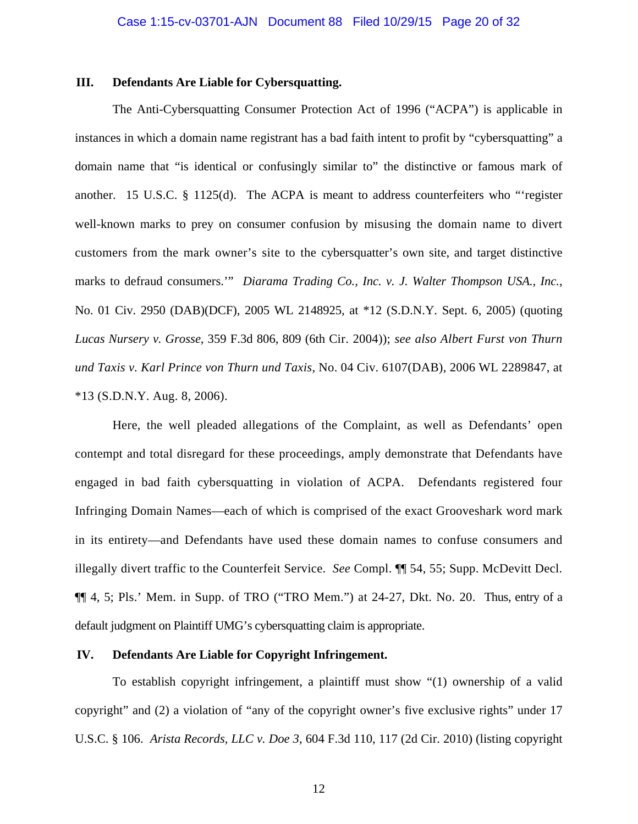### **III. Defendants Are Liable for Cybersquatting.**

The Anti-Cybersquatting Consumer Protection Act of 1996 ("ACPA") is applicable in instances in which a domain name registrant has a bad faith intent to profit by "cybersquatting" a domain name that "is identical or confusingly similar to" the distinctive or famous mark of another. 15 U.S.C. § 1125(d). The ACPA is meant to address counterfeiters who "'register well-known marks to prey on consumer confusion by misusing the domain name to divert customers from the mark owner's site to the cybersquatter's own site, and target distinctive marks to defraud consumers.'" *Diarama Trading Co., Inc. v. J. Walter Thompson USA., Inc.*, No. 01 Civ. 2950 (DAB)(DCF), 2005 WL 2148925, at \*12 (S.D.N.Y. Sept. 6, 2005) (quoting *Lucas Nursery v. Grosse*, 359 F.3d 806, 809 (6th Cir. 2004)); *see also Albert Furst von Thurn und Taxis v. Karl Prince von Thurn und Taxis*, No. 04 Civ. 6107(DAB), 2006 WL 2289847, at \*13 (S.D.N.Y. Aug. 8, 2006).

Here, the well pleaded allegations of the Complaint, as well as Defendants' open contempt and total disregard for these proceedings, amply demonstrate that Defendants have engaged in bad faith cybersquatting in violation of ACPA. Defendants registered four Infringing Domain Names—each of which is comprised of the exact Grooveshark word mark in its entirety—and Defendants have used these domain names to confuse consumers and illegally divert traffic to the Counterfeit Service. *See* Compl. ¶¶ 54, 55; Supp. McDevitt Decl. ¶¶ 4, 5; Pls.' Mem. in Supp. of TRO ("TRO Mem.") at 24-27, Dkt. No. 20. Thus, entry of a default judgment on Plaintiff UMG's cybersquatting claim is appropriate.

### **IV. Defendants Are Liable for Copyright Infringement.**

To establish copyright infringement, a plaintiff must show "(1) ownership of a valid copyright" and (2) a violation of "any of the copyright owner's five exclusive rights" under 17 U.S.C. § 106. *Arista Records, LLC v. Doe 3*, 604 F.3d 110, 117 (2d Cir. 2010) (listing copyright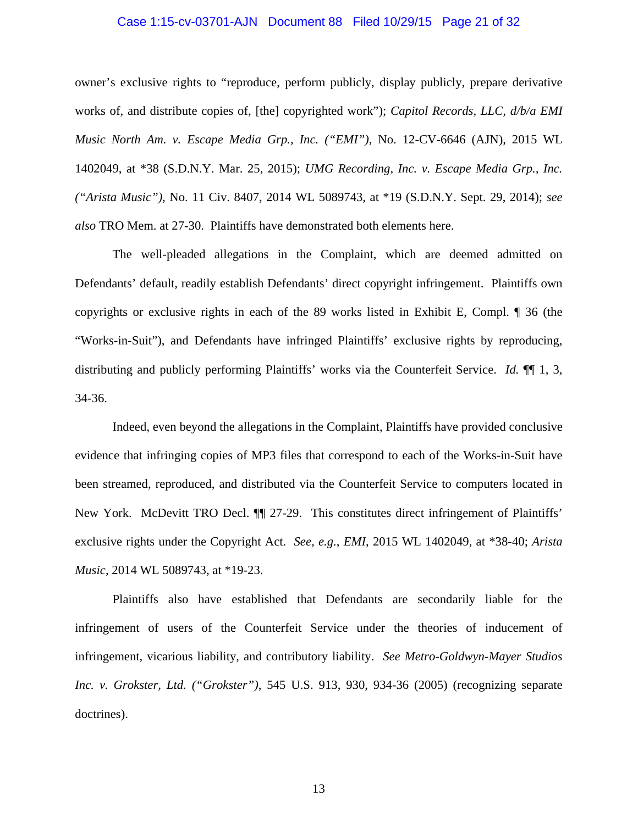# Case 1:15-cv-03701-AJN Document 88 Filed 10/29/15 Page 21 of 32

owner's exclusive rights to "reproduce, perform publicly, display publicly, prepare derivative works of, and distribute copies of, [the] copyrighted work"); *Capitol Records, LLC, d/b/a EMI Music North Am. v. Escape Media Grp., Inc. ("EMI")*, No. 12-CV-6646 (AJN), 2015 WL 1402049, at \*38 (S.D.N.Y. Mar. 25, 2015); *UMG Recording, Inc. v. Escape Media Grp., Inc. ("Arista Music")*, No. 11 Civ. 8407, 2014 WL 5089743, at \*19 (S.D.N.Y. Sept. 29, 2014); *see also* TRO Mem. at 27-30. Plaintiffs have demonstrated both elements here.

The well-pleaded allegations in the Complaint, which are deemed admitted on Defendants' default, readily establish Defendants' direct copyright infringement. Plaintiffs own copyrights or exclusive rights in each of the 89 works listed in Exhibit E, Compl. ¶ 36 (the "Works-in-Suit"), and Defendants have infringed Plaintiffs' exclusive rights by reproducing, distributing and publicly performing Plaintiffs' works via the Counterfeit Service. *Id.* ¶¶ 1, 3, 34-36.

Indeed, even beyond the allegations in the Complaint, Plaintiffs have provided conclusive evidence that infringing copies of MP3 files that correspond to each of the Works-in-Suit have been streamed, reproduced, and distributed via the Counterfeit Service to computers located in New York. McDevitt TRO Decl. ¶¶ 27-29. This constitutes direct infringement of Plaintiffs' exclusive rights under the Copyright Act. *See, e.g.*, *EMI*, 2015 WL 1402049, at \*38-40; *Arista Music*, 2014 WL 5089743, at \*19-23.

Plaintiffs also have established that Defendants are secondarily liable for the infringement of users of the Counterfeit Service under the theories of inducement of infringement, vicarious liability, and contributory liability. *See Metro-Goldwyn-Mayer Studios Inc. v. Grokster, Ltd. ("Grokster")*, 545 U.S. 913, 930, 934-36 (2005) (recognizing separate doctrines).

13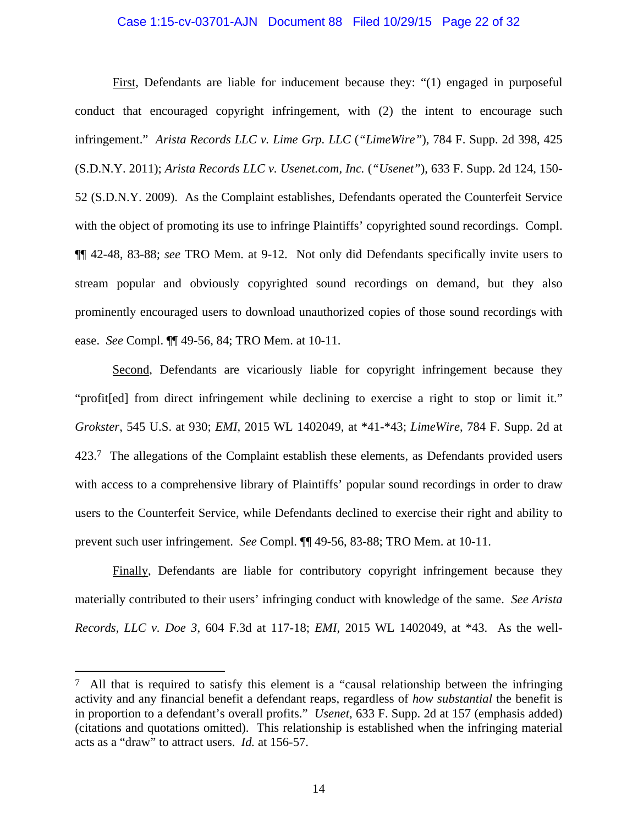### Case 1:15-cv-03701-AJN Document 88 Filed 10/29/15 Page 22 of 32

First, Defendants are liable for inducement because they: "(1) engaged in purposeful conduct that encouraged copyright infringement, with (2) the intent to encourage such infringement." *Arista Records LLC v. Lime Grp. LLC* (*"LimeWire"*), 784 F. Supp. 2d 398, 425 (S.D.N.Y. 2011); *Arista Records LLC v. Usenet.com, Inc.* (*"Usenet"*), 633 F. Supp. 2d 124, 150- 52 (S.D.N.Y. 2009). As the Complaint establishes, Defendants operated the Counterfeit Service with the object of promoting its use to infringe Plaintiffs' copyrighted sound recordings. Compl. ¶¶ 42-48, 83-88; *see* TRO Mem. at 9-12. Not only did Defendants specifically invite users to stream popular and obviously copyrighted sound recordings on demand, but they also prominently encouraged users to download unauthorized copies of those sound recordings with ease. *See* Compl. ¶¶ 49-56, 84; TRO Mem. at 10-11.

Second, Defendants are vicariously liable for copyright infringement because they "profit[ed] from direct infringement while declining to exercise a right to stop or limit it." *Grokster*, 545 U.S. at 930; *EMI*, 2015 WL 1402049, at \*41-\*43; *LimeWire*, 784 F. Supp. 2d at 423.7 The allegations of the Complaint establish these elements, as Defendants provided users with access to a comprehensive library of Plaintiffs' popular sound recordings in order to draw users to the Counterfeit Service, while Defendants declined to exercise their right and ability to prevent such user infringement. *See* Compl. ¶¶ 49-56, 83-88; TRO Mem. at 10-11.

Finally, Defendants are liable for contributory copyright infringement because they materially contributed to their users' infringing conduct with knowledge of the same. *See Arista Records, LLC v. Doe 3*, 604 F.3d at 117-18; *EMI*, 2015 WL 1402049, at \*43. As the well-

 $\overline{a}$ 

<sup>7</sup> All that is required to satisfy this element is a "causal relationship between the infringing activity and any financial benefit a defendant reaps, regardless of *how substantial* the benefit is in proportion to a defendant's overall profits." *Usenet*, 633 F. Supp. 2d at 157 (emphasis added) (citations and quotations omitted). This relationship is established when the infringing material acts as a "draw" to attract users. *Id.* at 156-57.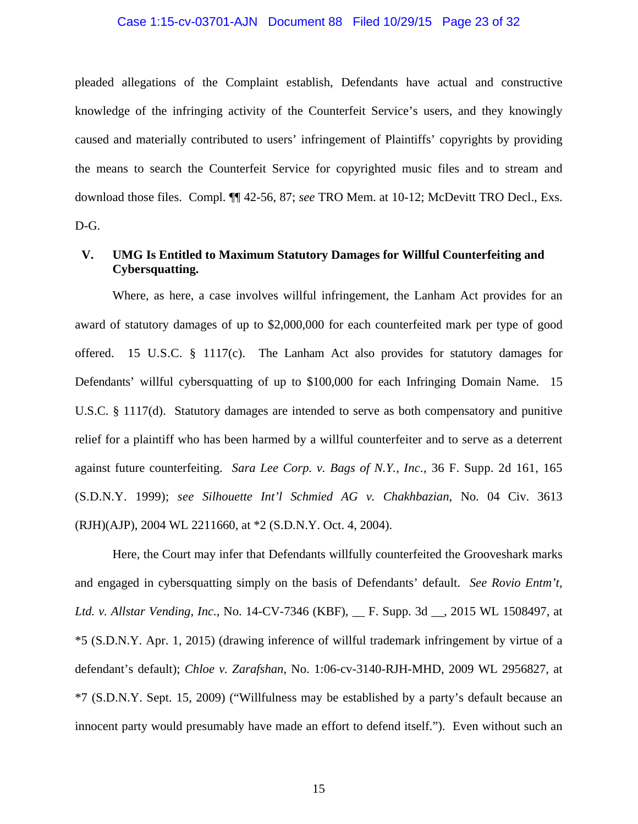# Case 1:15-cv-03701-AJN Document 88 Filed 10/29/15 Page 23 of 32

pleaded allegations of the Complaint establish, Defendants have actual and constructive knowledge of the infringing activity of the Counterfeit Service's users, and they knowingly caused and materially contributed to users' infringement of Plaintiffs' copyrights by providing the means to search the Counterfeit Service for copyrighted music files and to stream and download those files. Compl. ¶¶ 42-56, 87; *see* TRO Mem. at 10-12; McDevitt TRO Decl., Exs. D-G.

### **V. UMG Is Entitled to Maximum Statutory Damages for Willful Counterfeiting and Cybersquatting.**

Where, as here, a case involves willful infringement, the Lanham Act provides for an award of statutory damages of up to \$2,000,000 for each counterfeited mark per type of good offered. 15 U.S.C. § 1117(c). The Lanham Act also provides for statutory damages for Defendants' willful cybersquatting of up to \$100,000 for each Infringing Domain Name. 15 U.S.C. § 1117(d). Statutory damages are intended to serve as both compensatory and punitive relief for a plaintiff who has been harmed by a willful counterfeiter and to serve as a deterrent against future counterfeiting. *Sara Lee Corp. v. Bags of N.Y., Inc.*, 36 F. Supp. 2d 161, 165 (S.D.N.Y. 1999); *see Silhouette Int'l Schmied AG v. Chakhbazian*, No. 04 Civ. 3613 (RJH)(AJP), 2004 WL 2211660, at \*2 (S.D.N.Y. Oct. 4, 2004).

Here, the Court may infer that Defendants willfully counterfeited the Grooveshark marks and engaged in cybersquatting simply on the basis of Defendants' default. *See Rovio Entm't, Ltd. v. Allstar Vending, Inc.*, No. 14-CV-7346 (KBF), \_\_ F. Supp. 3d \_\_, 2015 WL 1508497, at \*5 (S.D.N.Y. Apr. 1, 2015) (drawing inference of willful trademark infringement by virtue of a defendant's default); *Chloe v. Zarafshan*, No. 1:06-cv-3140-RJH-MHD, 2009 WL 2956827, at \*7 (S.D.N.Y. Sept. 15, 2009) ("Willfulness may be established by a party's default because an innocent party would presumably have made an effort to defend itself."). Even without such an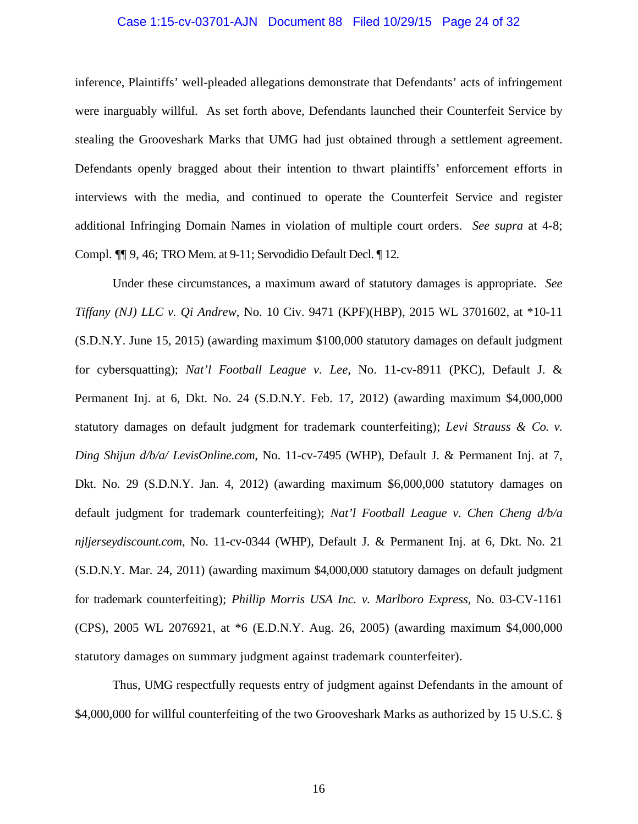# Case 1:15-cv-03701-AJN Document 88 Filed 10/29/15 Page 24 of 32

inference, Plaintiffs' well-pleaded allegations demonstrate that Defendants' acts of infringement were inarguably willful. As set forth above, Defendants launched their Counterfeit Service by stealing the Grooveshark Marks that UMG had just obtained through a settlement agreement. Defendants openly bragged about their intention to thwart plaintiffs' enforcement efforts in interviews with the media, and continued to operate the Counterfeit Service and register additional Infringing Domain Names in violation of multiple court orders. *See supra* at 4-8; Compl. ¶¶ 9, 46; TRO Mem. at 9-11; Servodidio Default Decl. ¶ 12.

Under these circumstances, a maximum award of statutory damages is appropriate. *See Tiffany (NJ) LLC v. Qi Andrew*, No. 10 Civ. 9471 (KPF)(HBP), 2015 WL 3701602, at \*10-11 (S.D.N.Y. June 15, 2015) (awarding maximum \$100,000 statutory damages on default judgment for cybersquatting); *Nat'l Football League v. Lee*, No. 11-cv-8911 (PKC), Default J. & Permanent Inj. at 6, Dkt. No. 24 (S.D.N.Y. Feb. 17, 2012) (awarding maximum \$4,000,000 statutory damages on default judgment for trademark counterfeiting); *Levi Strauss & Co. v. Ding Shijun d/b/a/ LevisOnline.com*, No. 11-cv-7495 (WHP), Default J. & Permanent Inj. at 7, Dkt. No. 29 (S.D.N.Y. Jan. 4, 2012) (awarding maximum \$6,000,000 statutory damages on default judgment for trademark counterfeiting); *Nat'l Football League v. Chen Cheng d/b/a njljerseydiscount.com*, No. 11-cv-0344 (WHP), Default J. & Permanent Inj. at 6, Dkt. No. 21 (S.D.N.Y. Mar. 24, 2011) (awarding maximum \$4,000,000 statutory damages on default judgment for trademark counterfeiting); *Phillip Morris USA Inc. v. Marlboro Express*, No. 03-CV-1161 (CPS), 2005 WL 2076921, at \*6 (E.D.N.Y. Aug. 26, 2005) (awarding maximum \$4,000,000 statutory damages on summary judgment against trademark counterfeiter).

Thus, UMG respectfully requests entry of judgment against Defendants in the amount of \$4,000,000 for willful counterfeiting of the two Grooveshark Marks as authorized by 15 U.S.C. §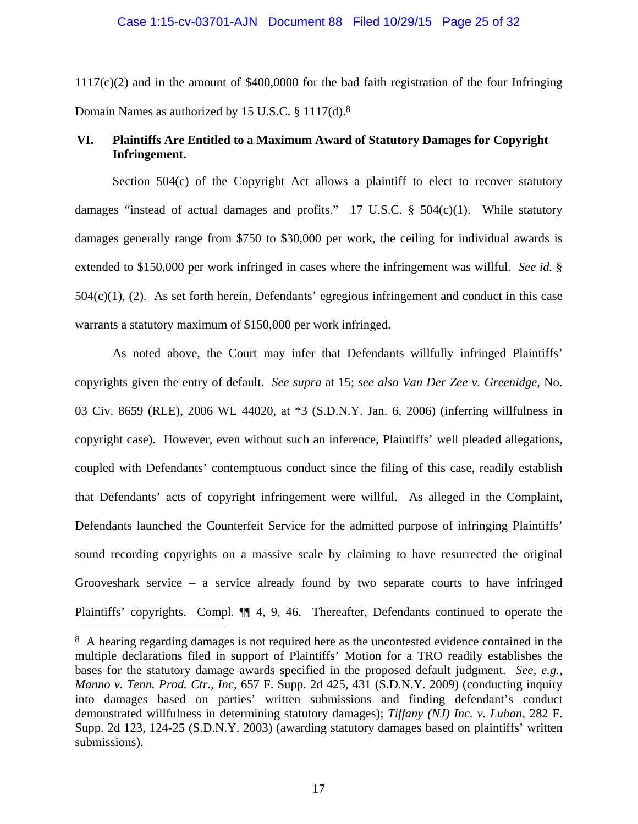$1117(c)(2)$  and in the amount of \$400,0000 for the bad faith registration of the four Infringing Domain Names as authorized by 15 U.S.C. § 1117(d).8

## **VI. Plaintiffs Are Entitled to a Maximum Award of Statutory Damages for Copyright Infringement.**

Section  $504(c)$  of the Copyright Act allows a plaintiff to elect to recover statutory damages "instead of actual damages and profits." 17 U.S.C.  $\S$  504(c)(1). While statutory damages generally range from \$750 to \$30,000 per work, the ceiling for individual awards is extended to \$150,000 per work infringed in cases where the infringement was willful. *See id.* § 504(c)(1), (2). As set forth herein, Defendants' egregious infringement and conduct in this case warrants a statutory maximum of \$150,000 per work infringed.

As noted above, the Court may infer that Defendants willfully infringed Plaintiffs' copyrights given the entry of default. *See supra* at 15; *see also Van Der Zee v. Greenidge*, No. 03 Civ. 8659 (RLE), 2006 WL 44020, at \*3 (S.D.N.Y. Jan. 6, 2006) (inferring willfulness in copyright case). However, even without such an inference, Plaintiffs' well pleaded allegations, coupled with Defendants' contemptuous conduct since the filing of this case, readily establish that Defendants' acts of copyright infringement were willful. As alleged in the Complaint, Defendants launched the Counterfeit Service for the admitted purpose of infringing Plaintiffs' sound recording copyrights on a massive scale by claiming to have resurrected the original Grooveshark service – a service already found by two separate courts to have infringed Plaintiffs' copyrights. Compl.  $\P$  4, 9, 46. Thereafter, Defendants continued to operate the

<u>.</u>

<sup>8</sup> A hearing regarding damages is not required here as the uncontested evidence contained in the multiple declarations filed in support of Plaintiffs' Motion for a TRO readily establishes the bases for the statutory damage awards specified in the proposed default judgment. *See, e.g.*, *Manno v. Tenn. Prod. Ctr., Inc*, 657 F. Supp. 2d 425, 431 (S.D.N.Y. 2009) (conducting inquiry into damages based on parties' written submissions and finding defendant's conduct demonstrated willfulness in determining statutory damages); *Tiffany (NJ) Inc. v. Luban*, 282 F. Supp. 2d 123, 124-25 (S.D.N.Y. 2003) (awarding statutory damages based on plaintiffs' written submissions).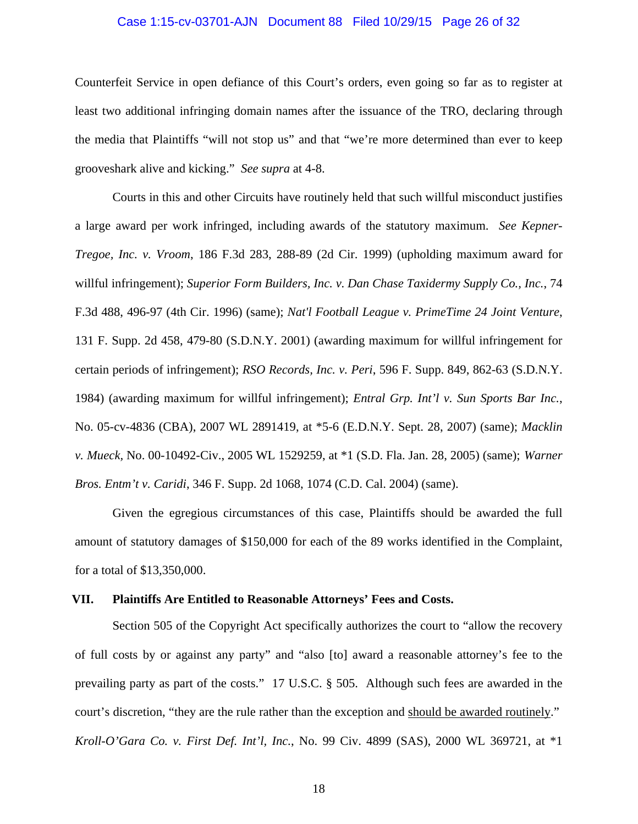### Case 1:15-cv-03701-AJN Document 88 Filed 10/29/15 Page 26 of 32

Counterfeit Service in open defiance of this Court's orders, even going so far as to register at least two additional infringing domain names after the issuance of the TRO, declaring through the media that Plaintiffs "will not stop us" and that "we're more determined than ever to keep grooveshark alive and kicking." *See supra* at 4-8.

Courts in this and other Circuits have routinely held that such willful misconduct justifies a large award per work infringed, including awards of the statutory maximum. *See Kepner-Tregoe, Inc. v. Vroom*, 186 F.3d 283, 288-89 (2d Cir. 1999) (upholding maximum award for willful infringement); *Superior Form Builders, Inc. v. Dan Chase Taxidermy Supply Co., Inc.*, 74 F.3d 488, 496-97 (4th Cir. 1996) (same); *Nat'l Football League v. PrimeTime 24 Joint Venture*, 131 F. Supp. 2d 458, 479-80 (S.D.N.Y. 2001) (awarding maximum for willful infringement for certain periods of infringement); *RSO Records, Inc. v. Peri*, 596 F. Supp. 849, 862-63 (S.D.N.Y. 1984) (awarding maximum for willful infringement); *Entral Grp. Int'l v. Sun Sports Bar Inc.*, No. 05-cv-4836 (CBA), 2007 WL 2891419, at \*5-6 (E.D.N.Y. Sept. 28, 2007) (same); *Macklin v. Mueck,* No. 00-10492-Civ., 2005 WL 1529259, at \*1 (S.D. Fla. Jan. 28, 2005) (same); *Warner Bros. Entm't v. Caridi*, 346 F. Supp. 2d 1068, 1074 (C.D. Cal. 2004) (same).

Given the egregious circumstances of this case, Plaintiffs should be awarded the full amount of statutory damages of \$150,000 for each of the 89 works identified in the Complaint, for a total of \$13,350,000.

### **VII. Plaintiffs Are Entitled to Reasonable Attorneys' Fees and Costs.**

Section 505 of the Copyright Act specifically authorizes the court to "allow the recovery of full costs by or against any party" and "also [to] award a reasonable attorney's fee to the prevailing party as part of the costs." 17 U.S.C. § 505. Although such fees are awarded in the court's discretion, "they are the rule rather than the exception and should be awarded routinely." *Kroll-O'Gara Co. v. First Def. Int'l, Inc.*, No. 99 Civ. 4899 (SAS), 2000 WL 369721, at \*1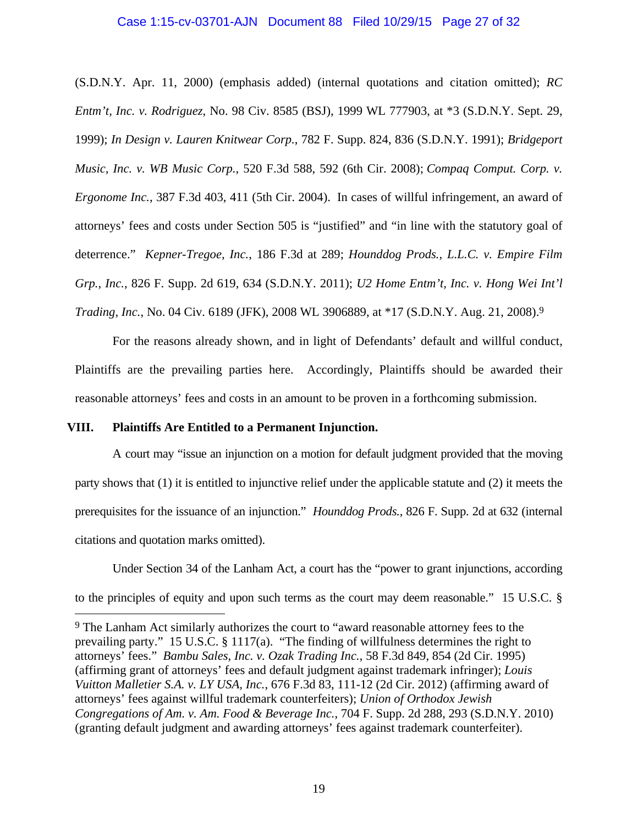### Case 1:15-cv-03701-AJN Document 88 Filed 10/29/15 Page 27 of 32

(S.D.N.Y. Apr. 11, 2000) (emphasis added) (internal quotations and citation omitted); *RC Entm't, Inc. v. Rodriguez*, No. 98 Civ. 8585 (BSJ), 1999 WL 777903, at \*3 (S.D.N.Y. Sept. 29, 1999); *In Design v. Lauren Knitwear Corp.*, 782 F. Supp. 824, 836 (S.D.N.Y. 1991); *Bridgeport Music, Inc. v. WB Music Corp.*, 520 F.3d 588, 592 (6th Cir. 2008); *Compaq Comput. Corp. v. Ergonome Inc.*, 387 F.3d 403, 411 (5th Cir. 2004). In cases of willful infringement, an award of attorneys' fees and costs under Section 505 is "justified" and "in line with the statutory goal of deterrence." *Kepner-Tregoe, Inc.*, 186 F.3d at 289; *Hounddog Prods., L.L.C. v. Empire Film Grp., Inc.*, 826 F. Supp. 2d 619, 634 (S.D.N.Y. 2011); *U2 Home Entm't, Inc. v. Hong Wei Int'l Trading, Inc.*, No. 04 Civ. 6189 (JFK), 2008 WL 3906889, at \*17 (S.D.N.Y. Aug. 21, 2008).9

For the reasons already shown, and in light of Defendants' default and willful conduct, Plaintiffs are the prevailing parties here. Accordingly, Plaintiffs should be awarded their reasonable attorneys' fees and costs in an amount to be proven in a forthcoming submission.

### **VIII. Plaintiffs Are Entitled to a Permanent Injunction.**

<u>.</u>

A court may "issue an injunction on a motion for default judgment provided that the moving party shows that (1) it is entitled to injunctive relief under the applicable statute and (2) it meets the prerequisites for the issuance of an injunction." *Hounddog Prods.*, 826 F. Supp. 2d at 632 (internal citations and quotation marks omitted).

Under Section 34 of the Lanham Act, a court has the "power to grant injunctions, according to the principles of equity and upon such terms as the court may deem reasonable." 15 U.S.C. §

<sup>9</sup> The Lanham Act similarly authorizes the court to "award reasonable attorney fees to the prevailing party." 15 U.S.C. § 1117(a). "The finding of willfulness determines the right to attorneys' fees." *Bambu Sales, Inc. v. Ozak Trading Inc.*, 58 F.3d 849, 854 (2d Cir. 1995) (affirming grant of attorneys' fees and default judgment against trademark infringer); *Louis Vuitton Malletier S.A. v. LY USA, Inc.*, 676 F.3d 83, 111-12 (2d Cir. 2012) (affirming award of attorneys' fees against willful trademark counterfeiters); *Union of Orthodox Jewish Congregations of Am. v. Am. Food & Beverage Inc.*, 704 F. Supp. 2d 288, 293 (S.D.N.Y. 2010) (granting default judgment and awarding attorneys' fees against trademark counterfeiter).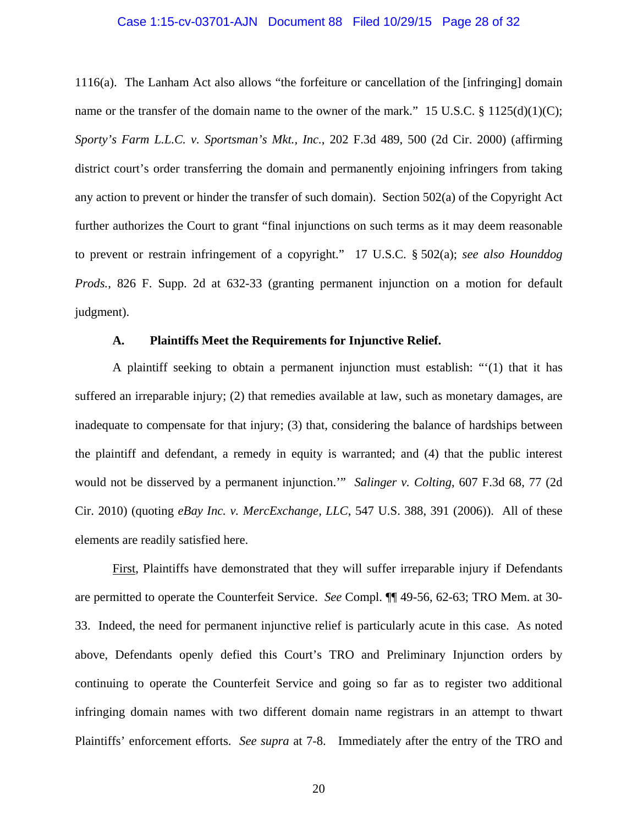### Case 1:15-cv-03701-AJN Document 88 Filed 10/29/15 Page 28 of 32

1116(a). The Lanham Act also allows "the forfeiture or cancellation of the [infringing] domain name or the transfer of the domain name to the owner of the mark." 15 U.S.C.  $\S$  1125(d)(1)(C); *Sporty's Farm L.L.C. v. Sportsman's Mkt., Inc.*, 202 F.3d 489, 500 (2d Cir. 2000) (affirming district court's order transferring the domain and permanently enjoining infringers from taking any action to prevent or hinder the transfer of such domain). Section 502(a) of the Copyright Act further authorizes the Court to grant "final injunctions on such terms as it may deem reasonable to prevent or restrain infringement of a copyright." 17 U.S.C. § 502(a); *see also Hounddog Prods.*, 826 F. Supp. 2d at 632-33 (granting permanent injunction on a motion for default judgment).

### **A. Plaintiffs Meet the Requirements for Injunctive Relief.**

A plaintiff seeking to obtain a permanent injunction must establish: "'(1) that it has suffered an irreparable injury; (2) that remedies available at law, such as monetary damages, are inadequate to compensate for that injury; (3) that, considering the balance of hardships between the plaintiff and defendant, a remedy in equity is warranted; and (4) that the public interest would not be disserved by a permanent injunction.'" *Salinger v. Colting*, 607 F.3d 68, 77 (2d Cir. 2010) (quoting *eBay Inc. v. MercExchange, LLC*, 547 U.S. 388, 391 (2006)). All of these elements are readily satisfied here.

First, Plaintiffs have demonstrated that they will suffer irreparable injury if Defendants are permitted to operate the Counterfeit Service. *See* Compl. ¶¶ 49-56, 62-63; TRO Mem. at 30- 33. Indeed, the need for permanent injunctive relief is particularly acute in this case. As noted above, Defendants openly defied this Court's TRO and Preliminary Injunction orders by continuing to operate the Counterfeit Service and going so far as to register two additional infringing domain names with two different domain name registrars in an attempt to thwart Plaintiffs' enforcement efforts. *See supra* at 7-8. Immediately after the entry of the TRO and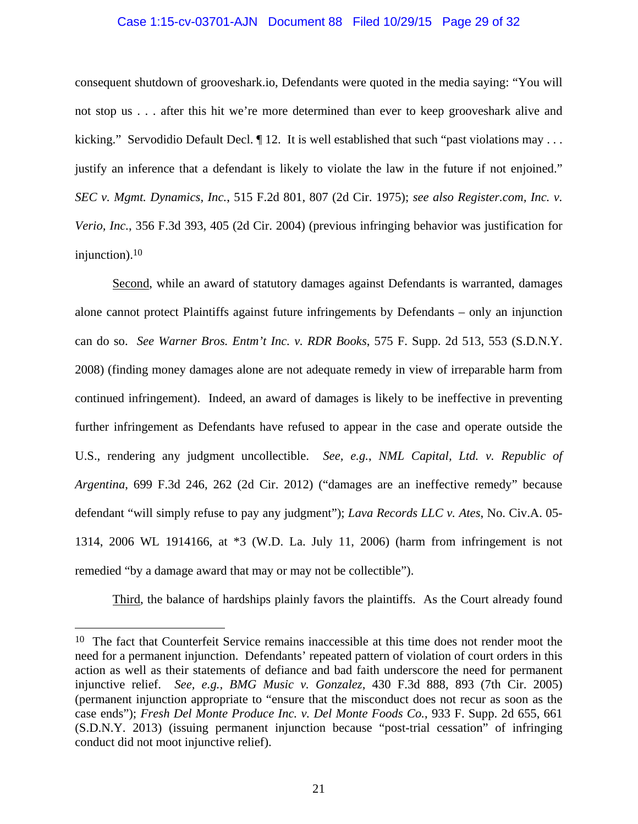#### Case 1:15-cv-03701-AJN Document 88 Filed 10/29/15 Page 29 of 32

consequent shutdown of grooveshark.io, Defendants were quoted in the media saying: "You will not stop us . . . after this hit we're more determined than ever to keep grooveshark alive and kicking." Servodidio Default Decl.  $\P$  12. It is well established that such "past violations may ... justify an inference that a defendant is likely to violate the law in the future if not enjoined." *SEC v. Mgmt. Dynamics, Inc.*, 515 F.2d 801, 807 (2d Cir. 1975); *see also Register.com, Inc. v. Verio, Inc.*, 356 F.3d 393, 405 (2d Cir. 2004) (previous infringing behavior was justification for injunction).10

Second, while an award of statutory damages against Defendants is warranted, damages alone cannot protect Plaintiffs against future infringements by Defendants – only an injunction can do so. *See Warner Bros. Entm't Inc. v. RDR Books*, 575 F. Supp. 2d 513, 553 (S.D.N.Y. 2008) (finding money damages alone are not adequate remedy in view of irreparable harm from continued infringement). Indeed, an award of damages is likely to be ineffective in preventing further infringement as Defendants have refused to appear in the case and operate outside the U.S., rendering any judgment uncollectible. *See, e.g.*, *NML Capital, Ltd. v. Republic of Argentina*, 699 F.3d 246, 262 (2d Cir. 2012) ("damages are an ineffective remedy" because defendant "will simply refuse to pay any judgment"); *Lava Records LLC v. Ates*, No. Civ.A. 05- 1314, 2006 WL 1914166, at \*3 (W.D. La. July 11, 2006) (harm from infringement is not remedied "by a damage award that may or may not be collectible").

Third, the balance of hardships plainly favors the plaintiffs. As the Court already found

<u>.</u>

<sup>&</sup>lt;sup>10</sup> The fact that Counterfeit Service remains inaccessible at this time does not render moot the need for a permanent injunction. Defendants' repeated pattern of violation of court orders in this action as well as their statements of defiance and bad faith underscore the need for permanent injunctive relief. *See, e.g., BMG Music v. Gonzalez,* 430 F.3d 888, 893 (7th Cir. 2005) (permanent injunction appropriate to "ensure that the misconduct does not recur as soon as the case ends"); *Fresh Del Monte Produce Inc. v. Del Monte Foods Co.*, 933 F. Supp. 2d 655, 661 (S.D.N.Y. 2013) (issuing permanent injunction because "post-trial cessation" of infringing conduct did not moot injunctive relief).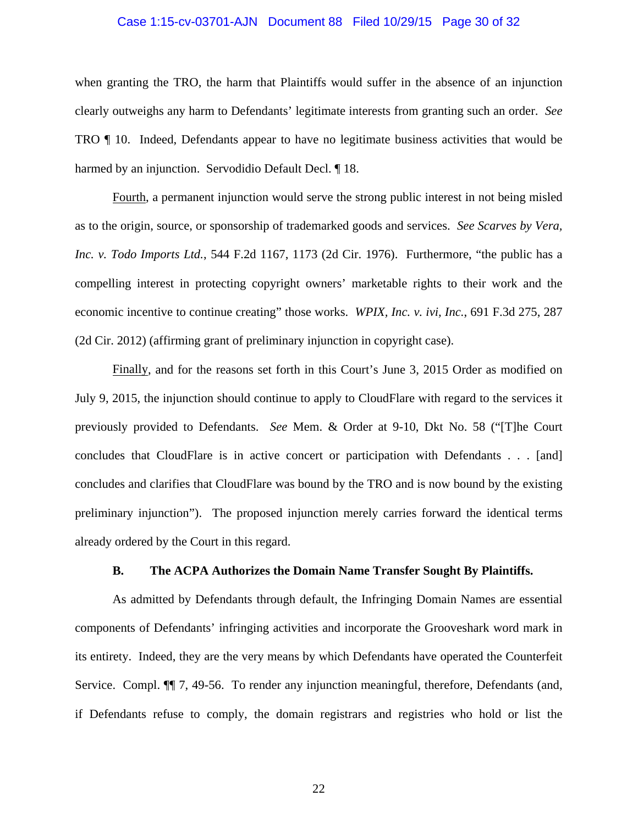#### Case 1:15-cv-03701-AJN Document 88 Filed 10/29/15 Page 30 of 32

when granting the TRO, the harm that Plaintiffs would suffer in the absence of an injunction clearly outweighs any harm to Defendants' legitimate interests from granting such an order. *See* TRO ¶ 10. Indeed, Defendants appear to have no legitimate business activities that would be harmed by an injunction. Servodidio Default Decl. ¶ 18.

Fourth, a permanent injunction would serve the strong public interest in not being misled as to the origin, source, or sponsorship of trademarked goods and services. *See Scarves by Vera, Inc. v. Todo Imports Ltd.*, 544 F.2d 1167, 1173 (2d Cir. 1976). Furthermore, "the public has a compelling interest in protecting copyright owners' marketable rights to their work and the economic incentive to continue creating" those works. *WPIX, Inc. v. ivi, Inc.*, 691 F.3d 275, 287 (2d Cir. 2012) (affirming grant of preliminary injunction in copyright case).

Finally, and for the reasons set forth in this Court's June 3, 2015 Order as modified on July 9, 2015, the injunction should continue to apply to CloudFlare with regard to the services it previously provided to Defendants. *See* Mem. & Order at 9-10, Dkt No. 58 ("[T]he Court concludes that CloudFlare is in active concert or participation with Defendants . . . [and] concludes and clarifies that CloudFlare was bound by the TRO and is now bound by the existing preliminary injunction"). The proposed injunction merely carries forward the identical terms already ordered by the Court in this regard.

### **B. The ACPA Authorizes the Domain Name Transfer Sought By Plaintiffs.**

As admitted by Defendants through default, the Infringing Domain Names are essential components of Defendants' infringing activities and incorporate the Grooveshark word mark in its entirety. Indeed, they are the very means by which Defendants have operated the Counterfeit Service. Compl. ¶¶ 7, 49-56. To render any injunction meaningful, therefore, Defendants (and, if Defendants refuse to comply, the domain registrars and registries who hold or list the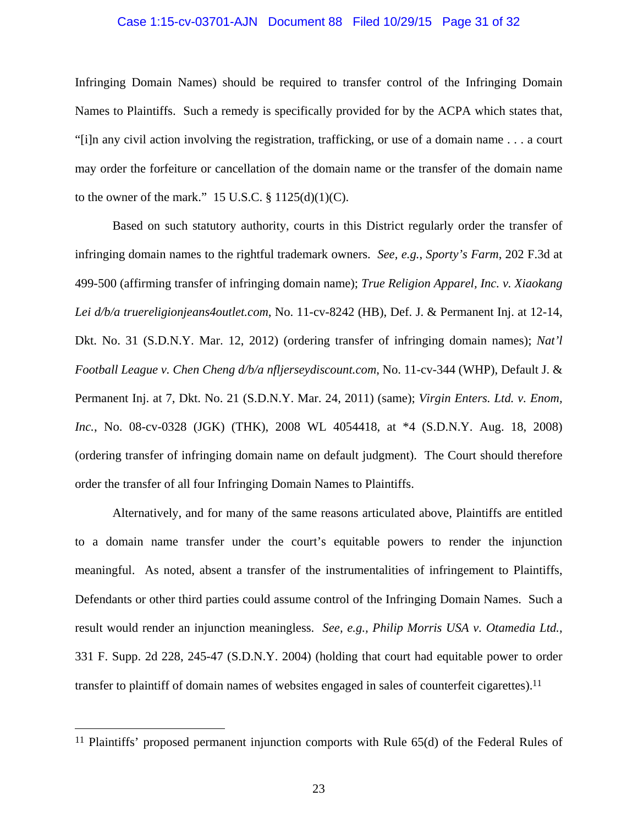#### Case 1:15-cv-03701-AJN Document 88 Filed 10/29/15 Page 31 of 32

Infringing Domain Names) should be required to transfer control of the Infringing Domain Names to Plaintiffs. Such a remedy is specifically provided for by the ACPA which states that, "[i]n any civil action involving the registration, trafficking, or use of a domain name . . . a court may order the forfeiture or cancellation of the domain name or the transfer of the domain name to the owner of the mark."  $15$  U.S.C. §  $1125(d)(1)(C)$ .

Based on such statutory authority, courts in this District regularly order the transfer of infringing domain names to the rightful trademark owners. *See, e.g.*, *Sporty's Farm*, 202 F.3d at 499-500 (affirming transfer of infringing domain name); *True Religion Apparel, Inc. v. Xiaokang Lei d/b/a truereligionjeans4outlet.com*, No. 11-cv-8242 (HB), Def. J. & Permanent Inj. at 12-14, Dkt. No. 31 (S.D.N.Y. Mar. 12, 2012) (ordering transfer of infringing domain names); *Nat'l Football League v. Chen Cheng d/b/a nfljerseydiscount.com*, No. 11-cv-344 (WHP), Default J. & Permanent Inj. at 7, Dkt. No. 21 (S.D.N.Y. Mar. 24, 2011) (same); *Virgin Enters. Ltd. v. Enom, Inc.*, No. 08-cv-0328 (JGK) (THK), 2008 WL 4054418, at \*4 (S.D.N.Y. Aug. 18, 2008) (ordering transfer of infringing domain name on default judgment). The Court should therefore order the transfer of all four Infringing Domain Names to Plaintiffs.

Alternatively, and for many of the same reasons articulated above, Plaintiffs are entitled to a domain name transfer under the court's equitable powers to render the injunction meaningful. As noted, absent a transfer of the instrumentalities of infringement to Plaintiffs, Defendants or other third parties could assume control of the Infringing Domain Names. Such a result would render an injunction meaningless. *See, e.g., Philip Morris USA v. Otamedia Ltd.*, 331 F. Supp. 2d 228, 245-47 (S.D.N.Y. 2004) (holding that court had equitable power to order transfer to plaintiff of domain names of websites engaged in sales of counterfeit cigarettes).<sup>11</sup>

 $\overline{a}$ 

<sup>11</sup> Plaintiffs' proposed permanent injunction comports with Rule 65(d) of the Federal Rules of